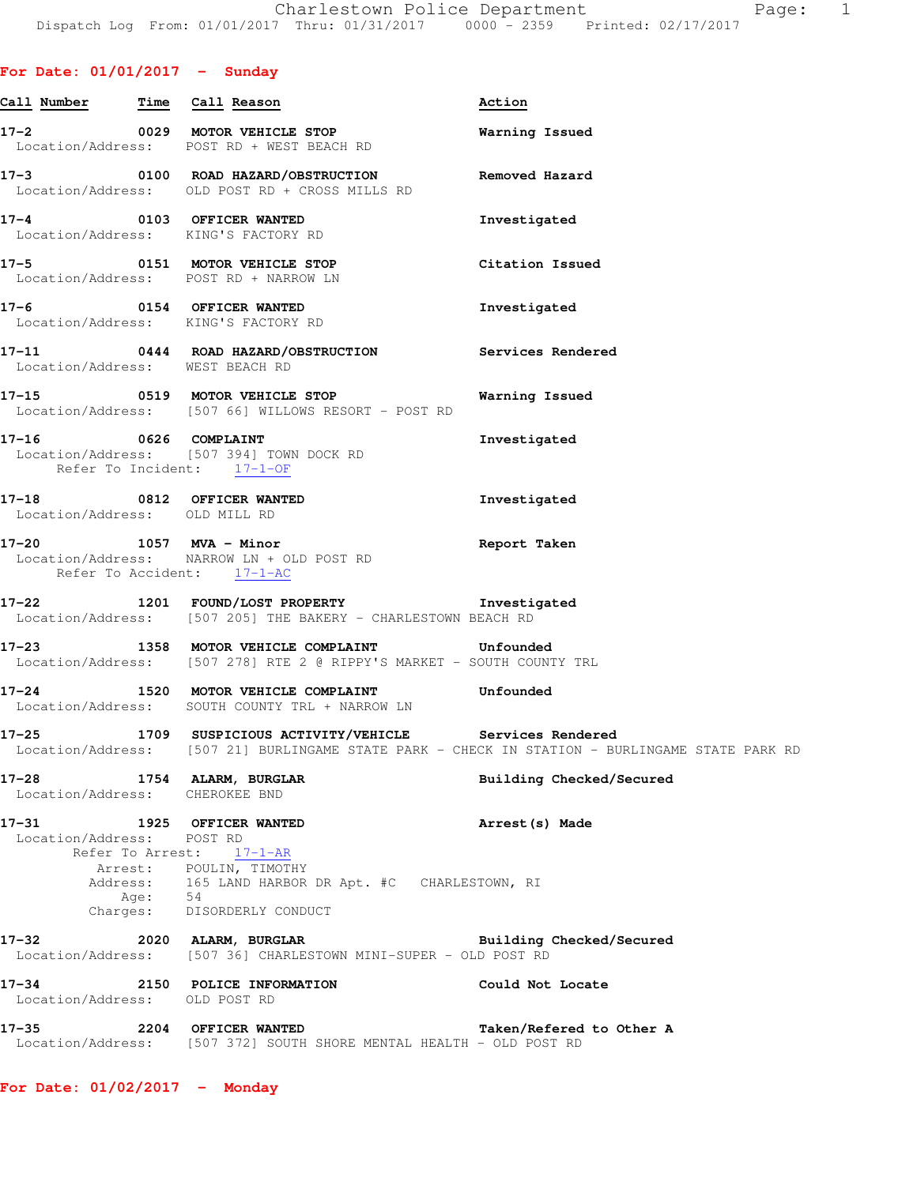|  |  | For Date: 01/01/2017 |  | Sunday |
|--|--|----------------------|--|--------|
|--|--|----------------------|--|--------|

| Call Number Time Call Reason                                |                                                                                                                                                      | Action                                                                                         |
|-------------------------------------------------------------|------------------------------------------------------------------------------------------------------------------------------------------------------|------------------------------------------------------------------------------------------------|
|                                                             | 17-2 0029 MOTOR VEHICLE STOP<br>Location/Address: POST RD + WEST BEACH RD                                                                            | Warning Issued                                                                                 |
|                                                             | 17-3 0100 ROAD HAZARD/OBSTRUCTION<br>Location/Address: OLD POST RD + CROSS MILLS RD                                                                  | Removed Hazard                                                                                 |
|                                                             | 17-4 0103 OFFICER WANTED<br>Location/Address: KING'S FACTORY RD                                                                                      | Investigated                                                                                   |
|                                                             | 17-5 0151 MOTOR VEHICLE STOP<br>Location/Address: POST RD + NARROW LN                                                                                | Citation Issued                                                                                |
|                                                             | 17-6 0154 OFFICER WANTED<br>Location/Address: KING'S FACTORY RD                                                                                      | Investigated                                                                                   |
| Location/Address: WEST BEACH RD                             | 17-11 0444 ROAD HAZARD/OBSTRUCTION Services Rendered                                                                                                 |                                                                                                |
|                                                             | 17-15 0519 MOTOR VEHICLE STOP 6 Warning Issued<br>Location/Address: [507 66] WILLOWS RESORT - POST RD                                                |                                                                                                |
| Refer To Incident: 17-1-OF                                  | 17-16 0626 COMPLAINT<br>Location/Address: [507 394] TOWN DOCK RD                                                                                     | Investigated                                                                                   |
| Location/Address: OLD MILL RD                               | 17-18 0812 OFFICER WANTED                                                                                                                            | Investigated                                                                                   |
| Refer To Accident: 17-1-AC                                  | $17-20$ 1057 MVA - Minor<br>Location/Address: NARROW LN + OLD POST RD                                                                                | Report Taken                                                                                   |
|                                                             | 17-22 1201 FOUND/LOST PROPERTY 1nvestigated<br>Location/Address: [507 205] THE BAKERY - CHARLESTOWN BEACH RD                                         |                                                                                                |
|                                                             | 17-23 1358 MOTOR VEHICLE COMPLAINT Unfounded<br>Location/Address: [507 278] RTE 2 @ RIPPY'S MARKET - SOUTH COUNTY TRL                                |                                                                                                |
|                                                             | 17-24 1520 MOTOR VEHICLE COMPLAINT Unfounded<br>Location/Address: SOUTH COUNTY TRL + NARROW LN                                                       |                                                                                                |
|                                                             | 17-25 1709 SUSPICIOUS ACTIVITY/VEHICLE Services Rendered                                                                                             | Location/Address: [507 21] BURLINGAME STATE PARK - CHECK IN STATION - BURLINGAME STATE PARK RD |
| 17-28 1754 ALARM, BURGLAR<br>Location/Address: CHEROKEE BND |                                                                                                                                                      | Building Checked/Secured                                                                       |
| 17-31 1925 OFFICER WANTED<br>Location/Address: POST RD      | Refer To Arrest: 17-1-AR<br>Arrest: POULIN, TIMOTHY<br>Address: 165 LAND HARBOR DR Apt. #C CHARLESTOWN, RI<br>Age: 54<br>Charges: DISORDERLY CONDUCT | Arrest (s) Made                                                                                |
|                                                             | 17-32 2020 ALARM, BURGLAR BURGLAR Building Checked/Secured Location/Address: [507 36] CHARLESTOWN MINI-SUPER - OLD POST RD                           |                                                                                                |
| Location/Address: OLD POST RD                               | 17-34 2150 POLICE INFORMATION                                                                                                                        | Could Not Locate                                                                               |
|                                                             | 17-35 2204 OFFICER WANTED<br>Location/Address: [507 372] SOUTH SHORE MENTAL HEALTH - OLD POST RD                                                     | Taken/Refered to Other A                                                                       |

**For Date: 01/02/2017 - Monday**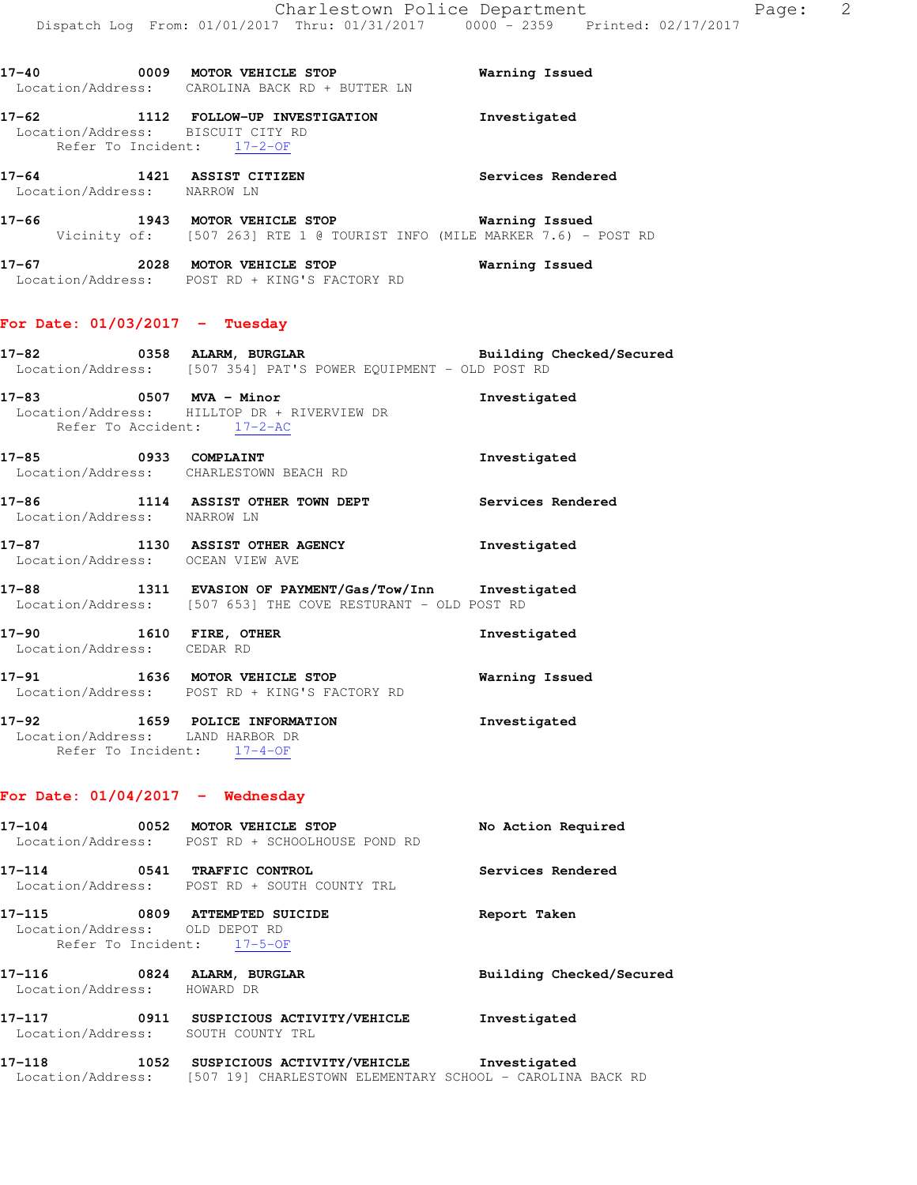| 17-40             | 0009 | MOTOR VEHICLE STOP           | Warning Issued |
|-------------------|------|------------------------------|----------------|
| Location/Address: |      | CAROLINA BACK RD + BUTTER LN |                |
| 17–62             | 1112 | FOLLOW-UP INVESTIGATION      | Investigated   |

|       |                                     | Refer To Incident: 17-2-OF                                                                    |                   |
|-------|-------------------------------------|-----------------------------------------------------------------------------------------------|-------------------|
| 17-64 | 1421<br>Location/Address: NARROW LN | ASSIST CITIZEN                                                                                | Services Rendered |
| 17–66 | 1943                                | MOTOR VEHICLE STOP<br>Vicinity of: [507 263] RTE 1 @ TOURIST INFO (MILE MARKER 7.6) - POST RD | Warning Issued    |
| 17–67 | 2028                                | MOTOR VEHICLE STOP<br>Location/Address: POST RD + KING'S FACTORY RD                           | Warning Issued    |

# **For Date: 01/03/2017 - Tuesday**

Location/Address: BISCUIT CITY RD

| 17-82             | 0358 |  | <b>ALARM, BURGLAR</b> |                                               |  |  | Building Checked/Secured |  |
|-------------------|------|--|-----------------------|-----------------------------------------------|--|--|--------------------------|--|
| Location/Address: |      |  |                       | [507 354] PAT'S POWER EQUIPMENT - OLD POST RD |  |  |                          |  |

- **17-83 0507 MVA Minor Investigated**  Location/Address: HILLTOP DR + RIVERVIEW DR Refer To Accident: 17-2-AC
- **17-85 0933 COMPLAINT Investigated**  Location/Address: CHARLESTOWN BEACH RD **17-86 1114 ASSIST OTHER TOWN DEPT Services Rendered**
- Location/Address: NARROW LN
- **17-87 1130 ASSIST OTHER AGENCY Investigated**  Location/Address: OCEAN VIEW AVE
- **17-88 1311 EVASION OF PAYMENT/Gas/Tow/Inn Investigated**  Location/Address: [507 653] THE COVE RESTURANT - OLD POST RD
- **17-90 1610 FIRE, OTHER Investigated**  Location/Address: CEDAR RD
- **17-91 1636 MOTOR VEHICLE STOP Warning Issued**  Location/Address: POST RD + KING'S FACTORY RD
- **17-92 1659 POLICE INFORMATION Investigated**  Location/Address: LAND HARBOR DR Refer To Incident: 17-4-OF

### **For Date: 01/04/2017 - Wednesday**

| 17-104                                   |      | 0052 MOTOR VEHICLE STOP<br>Location/Address: POST RD + SCHOOLHOUSE POND RD                    | No Action Required       |  |  |  |
|------------------------------------------|------|-----------------------------------------------------------------------------------------------|--------------------------|--|--|--|
| 17-114                                   |      | 0541 TRAFFIC CONTROL<br>Location/Address: POST RD + SOUTH COUNTY TRL                          | Services Rendered        |  |  |  |
| 17-115<br>Location/Address: OLD DEPOT RD | 0809 | <b>ATTEMPTED SUICIDE</b><br>Refer To Incident: 17-5-OF                                        | Report Taken             |  |  |  |
| 17–116<br>Location/Address:              | 0824 | ALARM, BURGLAR<br>HOWARD DR                                                                   | Building Checked/Secured |  |  |  |
| 17–117<br>Location/Address:              |      | 0911 SUSPICIOUS ACTIVITY/VEHICLE<br>SOUTH COUNTY TRL                                          | Investigated             |  |  |  |
| 17–118<br>Location/Address:              |      | 1052 SUSPICIOUS ACTIVITY/VEHICLE<br>[507 19] CHARLESTOWN ELEMENTARY SCHOOL - CAROLINA BACK RD | Investigated             |  |  |  |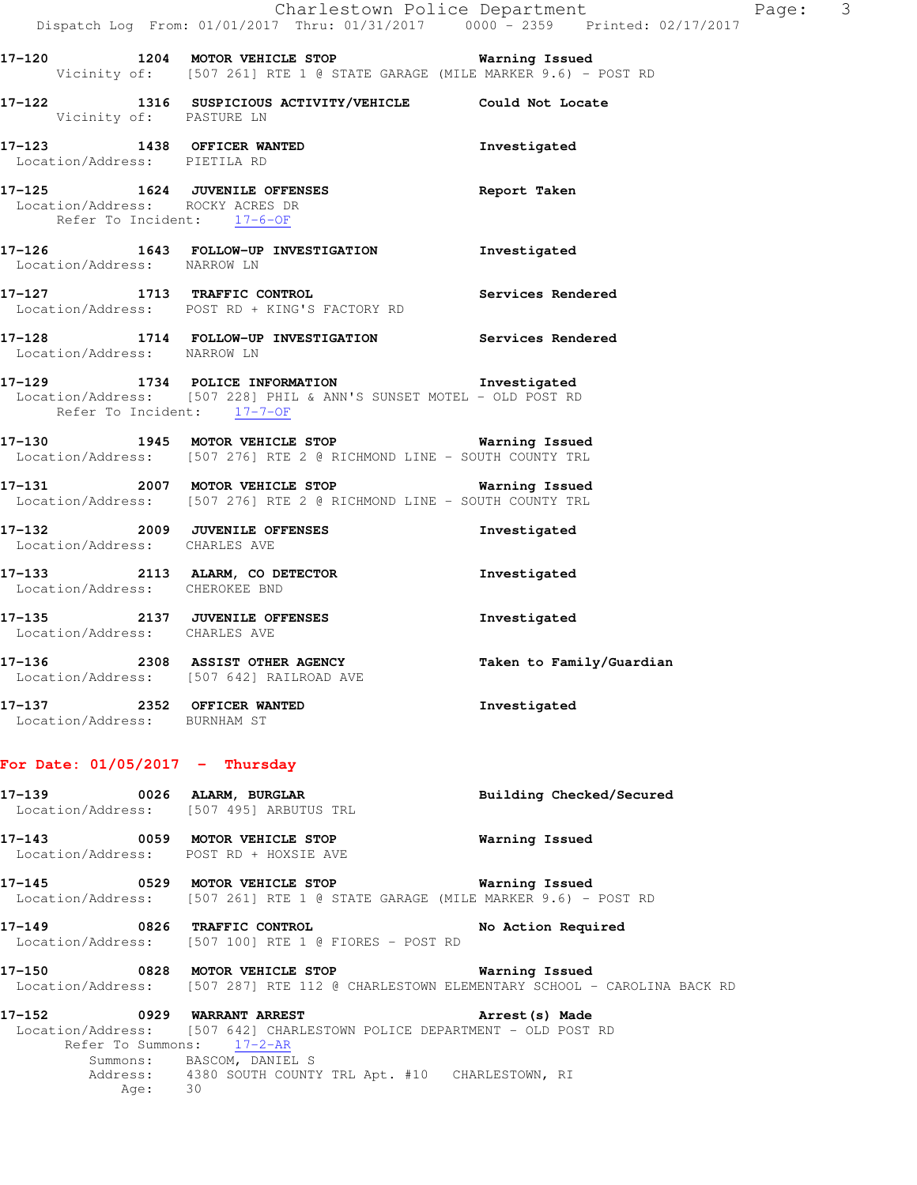|                                                                | Charlestown Police Department<br>Dispatch Log From: 01/01/2017 Thru: 01/31/2017 0000 - 2359 Printed: 02/17/2017                               |                          |
|----------------------------------------------------------------|-----------------------------------------------------------------------------------------------------------------------------------------------|--------------------------|
|                                                                | 17-120 1204 MOTOR VEHICLE STOP 6 Warning Issued<br>Vicinity of: [507 261] RTE 1 @ STATE GARAGE (MILE MARKER 9.6) - POST RD                    |                          |
| Vicinity of: PASTURE LN                                        | 17-122 1316 SUSPICIOUS ACTIVITY/VEHICLE Could Not Locate                                                                                      |                          |
| Location/Address: PIETILA RD                                   | 17-123 1438 OFFICER WANTED                                                                                                                    | Investigated             |
| Location/Address: ROCKY ACRES DR<br>Refer To Incident: 17-6-OF | 17-125 1624 JUVENILE OFFENSES Report Taken                                                                                                    |                          |
| Location/Address: NARROW LN                                    | 17-126 1643 FOLLOW-UP INVESTIGATION Investigated                                                                                              |                          |
|                                                                | 17-127 1713 TRAFFIC CONTROL Services Rendered<br>Location/Address: POST RD + KING'S FACTORY RD                                                |                          |
| Location/Address: NARROW LN                                    | 17-128 1714 FOLLOW-UP INVESTIGATION Services Rendered                                                                                         |                          |
| Refer To Incident: 17-7-OF                                     | 17-129 1734 POLICE INFORMATION 17-129<br>Location/Address: [507 228] PHIL & ANN'S SUNSET MOTEL - OLD POST RD                                  |                          |
|                                                                | 17-130 1945 MOTOR VEHICLE STOP 6 Warning Issued<br>Location/Address: [507 276] RTE 2 @ RICHMOND LINE - SOUTH COUNTY TRL                       |                          |
|                                                                | 17-131 2007 MOTOR VEHICLE STOP 6 Warning Issued<br>Location/Address: [507 276] RTE 2 @ RICHMOND LINE - SOUTH COUNTY TRL                       |                          |
| Location/Address: CHARLES AVE                                  | 17-132 2009 JUVENILE OFFENSES                                                                                                                 | Investigated             |
| Location/Address: CHEROKEE BND                                 | 17-133 2113 ALARM, CO DETECTOR                                                                                                                | Investigated             |
| Location/Address: CHARLES AVE                                  | 17-135 2137 JUVENILE OFFENSES                                                                                                                 | Investigated             |
|                                                                | 17-136 2308 ASSIST OTHER AGENCY<br>Location/Address: [507 642] RAILROAD AVE                                                                   | Taken to Family/Guardian |
| 17-137 2352 OFFICER WANTED<br>Location/Address: BURNHAM ST     |                                                                                                                                               | Investigated             |
| For Date: $01/05/2017$ - Thursday                              |                                                                                                                                               |                          |
|                                                                | 17-139 0026 ALARM, BURGLAR<br>Location/Address: [507 495] ARBUTUS TRL                                                                         | Building Checked/Secured |
| Location/Address: POST RD + HOXSIE AVE                         | 17-143 0059 MOTOR VEHICLE STOP                                                                                                                | Warning Issued           |
|                                                                | Location/Address: [507 261] RTE 1 @ STATE GARAGE (MILE MARKER 9.6) - POST RD                                                                  |                          |
|                                                                | 17-149 0826 TRAFFIC CONTROL<br>Location/Address: [507 100] RTE 1 @ FIORES - POST RD                                                           | No Action Required       |
|                                                                | 17-150 		 0828 MOTOR VEHICLE STOP 		 Warning Issued<br>Location/Address: [507 287] RTE 112 @ CHARLESTOWN ELEMENTARY SCHOOL - CAROLINA BACK RD |                          |
|                                                                | 17-152 0929 WARRANT ARREST<br>Location/Address: [507-642] CHARLESTOWN POLICE DEPARTMENT - OLD POST RD                                         | Arrest (s) Made          |

 Location/Address: [507 642] CHARLESTOWN POLICE DEPARTMENT - OLD POST RD Refer To Summons: 17-2-AR Summons: BASCOM, DANIEL S Address: 4380 SOUTH COUNTY TRL Apt. #10 CHARLESTOWN, RI Age: 30

Page: 3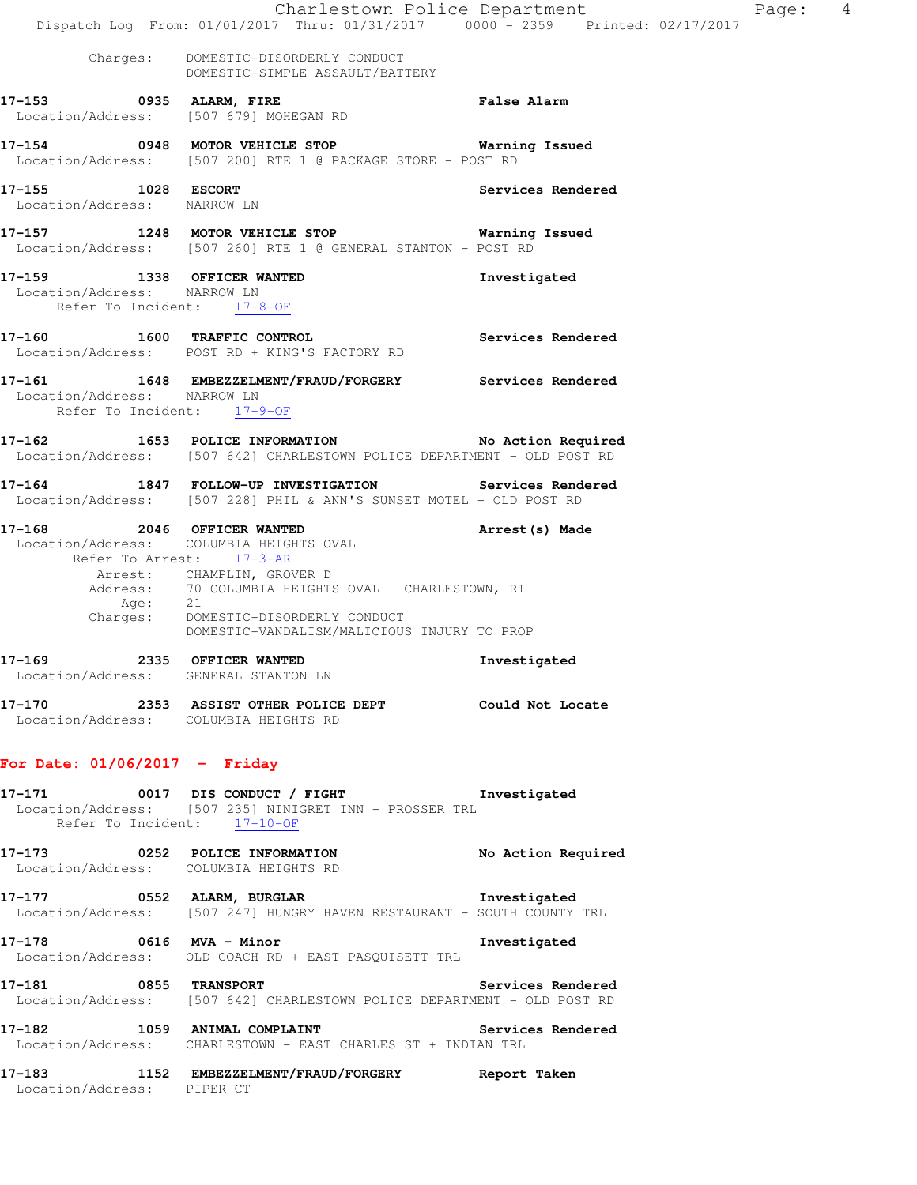|                                                                                         | Dispatch Log From: 01/01/2017 Thru: 01/31/2017 0000 - 2359 Printed: 02/17/2017                                               | Charlestown Police Department<br>Page: 4 |  |
|-----------------------------------------------------------------------------------------|------------------------------------------------------------------------------------------------------------------------------|------------------------------------------|--|
|                                                                                         | Charges: DOMESTIC-DISORDERLY CONDUCT<br>DOMESTIC-SIMPLE ASSAULT/BATTERY                                                      |                                          |  |
| 17-153 0935 ALARM, FIRE                                                                 | Location/Address: [507 679] MOHEGAN RD                                                                                       | <b>False Alarm</b>                       |  |
|                                                                                         | 17-154 		 0948 MOTOR VEHICLE STOP 			 Warning Issued<br>Location/Address: [507 200] RTE 1 @ PACKAGE STORE - POST RD          |                                          |  |
| 17-155 1028 ESCORT<br>Location/Address: NARROW LN                                       |                                                                                                                              | Services Rendered                        |  |
|                                                                                         | 17-157 1248 MOTOR VEHICLE STOP<br>Location/Address: [507 260] RTE 1 @ GENERAL STANTON - POST RD                              | Warning Issued                           |  |
| 17-159 1338 OFFICER WANTED<br>Location/Address: NARROW LN<br>Refer To Incident: 17-8-OF |                                                                                                                              | Investigated                             |  |
| 17-160 1600 TRAFFIC CONTROL                                                             | Services Rendered<br>Location/Address: POST RD + KING'S FACTORY RD                                                           |                                          |  |
| Location/Address: NARROW LN<br>Refer To Incident: 17-9-OF                               | 17-161 1648 EMBEZZELMENT/FRAUD/FORGERY Services Rendered                                                                     |                                          |  |
|                                                                                         | 17-162 1653 POLICE INFORMATION No Action Required<br>Location/Address: [507 642] CHARLESTOWN POLICE DEPARTMENT - OLD POST RD |                                          |  |
|                                                                                         | 17-164 1847 FOLLOW-UP INVESTIGATION Services Rendered<br>Location/Address: [507 228] PHIL & ANN'S SUNSET MOTEL - OLD POST RD |                                          |  |
| 17-168 2046 OFFICER WANTED                                                              | Location/Address: COLUMBIA HEIGHTS OVAL<br>Refer To Arrest: 17-3-AR                                                          | Arrest(s) Made                           |  |
|                                                                                         | Arrest: CHAMPLIN, GROVER D<br>Address: 70 COLUMBIA HEIGHTS OVAL CHARLESTOWN, RI                                              |                                          |  |
|                                                                                         | Age: 21<br>Charges: DOMESTIC-DISORDERLY CONDUCT<br>DOMESTIC-VANDALISM/MALICIOUS INJURY TO PROP                               |                                          |  |
| 17-169 2335 OFFICER WANTED<br>Location/Address: GENERAL STANTON LN                      |                                                                                                                              | Investigated                             |  |
| Location/Address: COLUMBIA HEIGHTS RD                                                   | 17-170 			 2353 ASSIST OTHER POLICE DEPT 			 Could Not Locate                                                                |                                          |  |
| For Date: $01/06/2017 -$ Friday                                                         |                                                                                                                              |                                          |  |
| Refer To Incident: 17-10-OF                                                             | 17-171 0017 DIS CONDUCT / FIGHT Threstigated<br>Location/Address: [507 235] NINIGRET INN - PROSSER TRL                       |                                          |  |
|                                                                                         | 17-173 0252 POLICE INFORMATION No Action Required<br>Location/Address: COLUMBIA HEIGHTS RD                                   |                                          |  |
|                                                                                         | 17-177 0552 ALARM, BURGLAR 17-177 Investigated<br>Location/Address: [507 247] HUNGRY HAVEN RESTAURANT - SOUTH COUNTY TRL     |                                          |  |
|                                                                                         | 17-178 0616 MVA - Minor<br>Location/Address: OLD COACH RD + EAST PASQUISETT TRL                                              | Investigated                             |  |
|                                                                                         | 17-181 0855 TRANSPORT<br>Location/Address: [507 642] CHARLESTOWN POLICE DEPARTMENT - OLD POST RD                             | Services Rendered                        |  |
|                                                                                         | 17-182 1059 ANIMAL COMPLAINT Services Rendered<br>Location/Address: CHARLESTOWN - EAST CHARLES ST + INDIAN TRL               |                                          |  |
| Location/Address: PIPER CT                                                              | 17-183 1152 EMBEZZELMENT/FRAUD/FORGERY Report Taken                                                                          |                                          |  |
|                                                                                         |                                                                                                                              |                                          |  |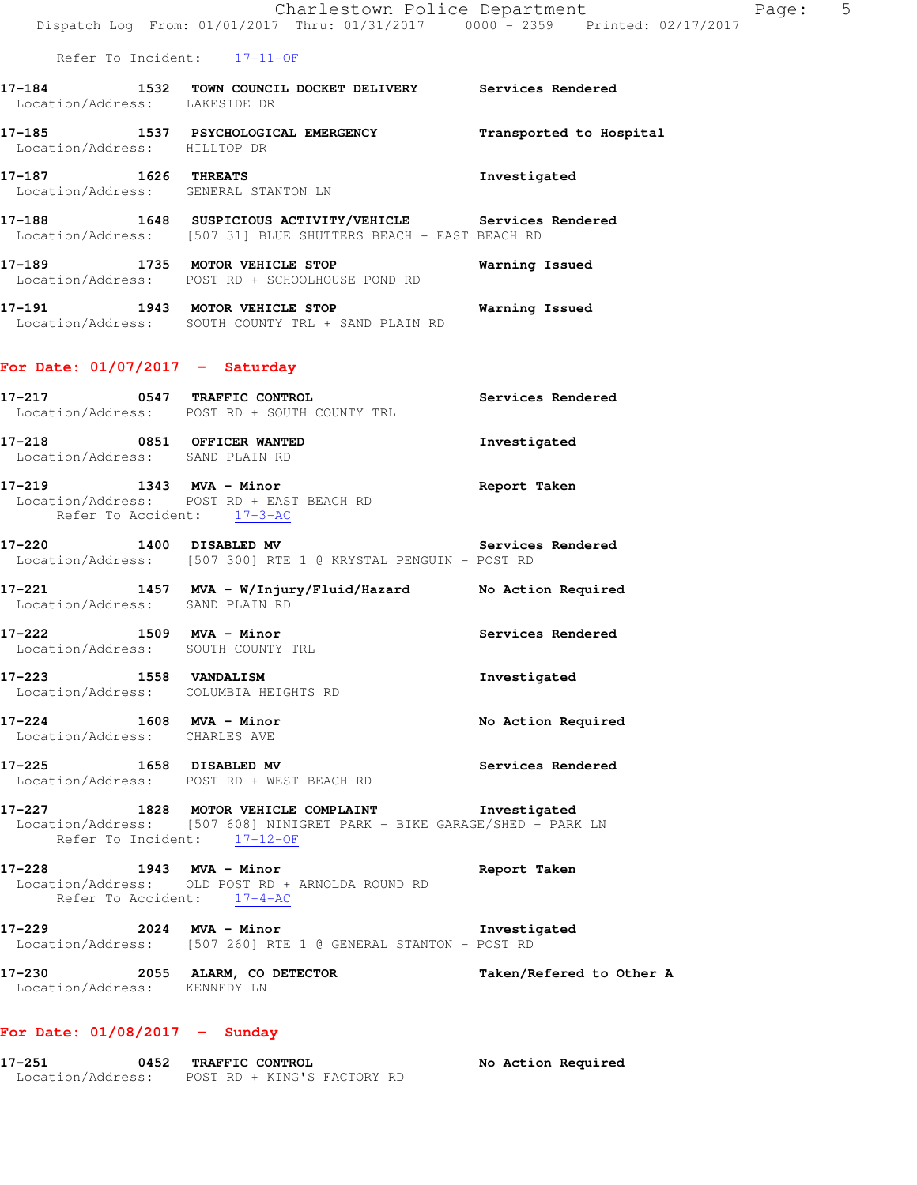Refer To Incident: 17-11-OF

| 17-184            |  |             | 1532 TOWN COUNCIL DOCKET DELIVERY | <b>Services Rendered</b> |  |
|-------------------|--|-------------|-----------------------------------|--------------------------|--|
| Location/Address: |  | LAKESIDE DR |                                   |                          |  |
| -- - - - -        |  |             |                                   |                          |  |

**17-185 1537 PSYCHOLOGICAL EMERGENCY Transported to Hospital**  Location/Address: HILLTOP DR

**17-187 1626 THREATS Investigated**  Location/Address: GENERAL STANTON LN

**17-188 1648 SUSPICIOUS ACTIVITY/VEHICLE Services Rendered**  Location/Address: [507 31] BLUE SHUTTERS BEACH - EAST BEACH RD

**17-189 1735 MOTOR VEHICLE STOP Warning Issued**  Location/Address: POST RD + SCHOOLHOUSE POND RD

**17-191 1943 MOTOR VEHICLE STOP Warning Issued**  Location/Address: SOUTH COUNTY TRL + SAND PLAIN RD

### **For Date: 01/07/2017 - Saturday**

- **17-217 0547 TRAFFIC CONTROL Services Rendered**  Location/Address: POST RD + SOUTH COUNTY TRL **17-218 0851 OFFICER WANTED Investigated**  Location/Address: SAND PLAIN RD
- **17-219 1343 MVA Minor Report Taken**  Location/Address: POST RD + EAST BEACH RD Refer To Accident: 17-3-AC
- **17-220 1400 DISABLED MV Services Rendered**  Location/Address: [507 300] RTE 1 @ KRYSTAL PENGUIN - POST RD
- **17-221 1457 MVA W/Injury/Fluid/Hazard No Action Required**  Location/Address: SAND PLAIN RD
- 17-222 1509 MVA Minor **Night Services Rendered** Location/Address: SOUTH COUNTY TRL
- **17-223 1558 VANDALISM Investigated**  Location/Address: COLUMBIA HEIGHTS RD
- **17-224 1608 MVA Minor No Action Required**  Location/Address: CHARLES AVE
- **17-225 1658 DISABLED MV Services Rendered**  Location/Address: POST RD + WEST BEACH RD
- **17-227 1828 MOTOR VEHICLE COMPLAINT Investigated**  Location/Address: [507 608] NINIGRET PARK - BIKE GARAGE/SHED - PARK LN Refer To Incident: 17-12-OF
- **17-228 1943 MVA Minor Report Taken**  Location/Address: OLD POST RD + ARNOLDA ROUND RD Refer To Accident: 17-4-AC
- **17-229 2024 MVA Minor Investigated**  Location/Address: [507 260] RTE 1 @ GENERAL STANTON - POST RD
- **17-230 2055 ALARM, CO DETECTOR Taken/Refered to Other A**  Location/Address: KENNEDY LN

### **For Date: 01/08/2017 - Sunday**

**17-251 0452 TRAFFIC CONTROL No Action Required**  Location/Address: POST RD + KING'S FACTORY RD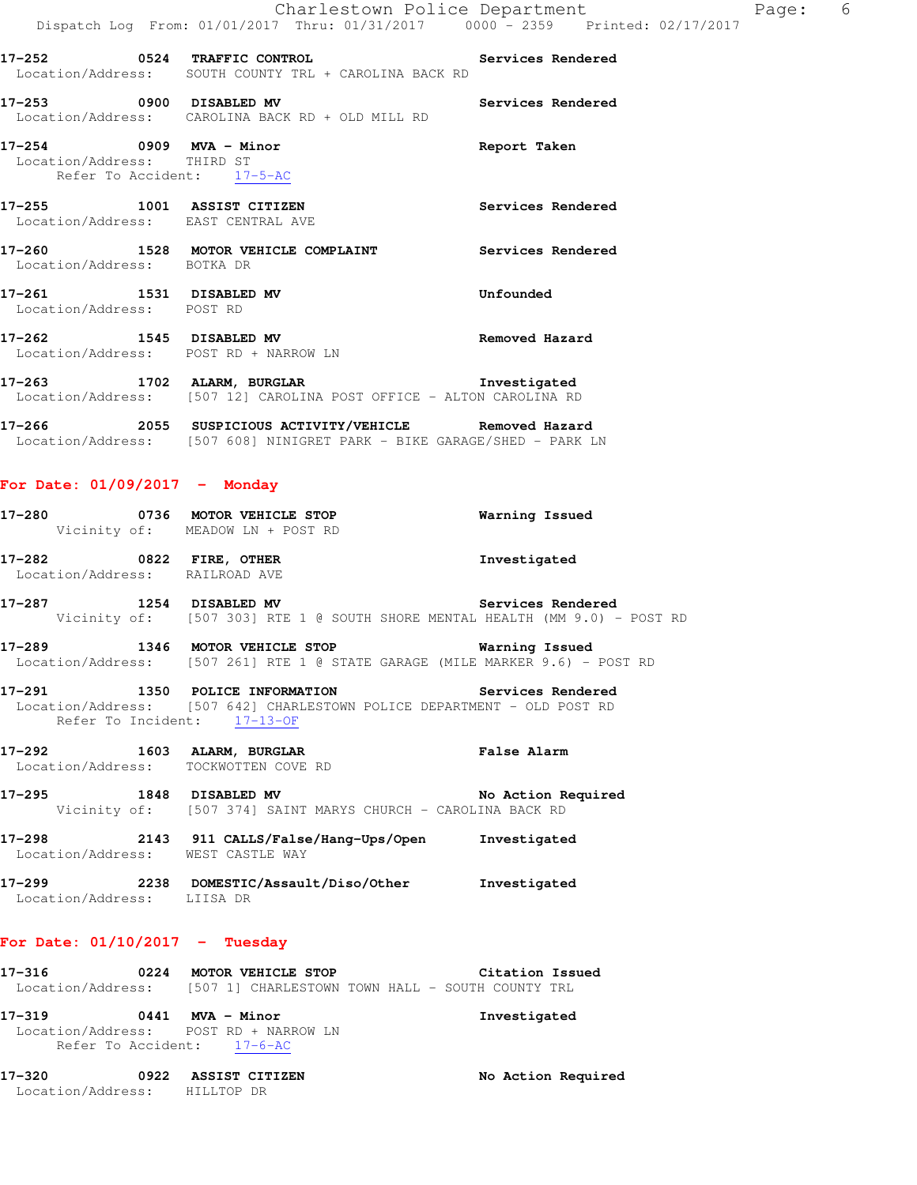| Charlestown Police Department                  |  |  |  |  |                                     |  |  |  | - 6 |
|------------------------------------------------|--|--|--|--|-------------------------------------|--|--|--|-----|
| Dispatch Log From: 01/01/2017 Thru: 01/31/2017 |  |  |  |  | $0000 - 2359$ Printed: $02/17/2017$ |  |  |  |     |

| 17–252            | 0524 | <b>TRAFFIC CONTROL</b> |  |  |                                     |  |  |  | <b>Services Rendered</b> |
|-------------------|------|------------------------|--|--|-------------------------------------|--|--|--|--------------------------|
| Location/Address: |      |                        |  |  | SOUTH COUNTY TRL + CAROLINA BACK RD |  |  |  |                          |

**17-253 0900 DISABLED MV Services Rendered**  Location/Address: CAROLINA BACK RD + OLD MILL RD

**17-254 0909 MVA - Minor Report Taken**  Location/Address: THIRD ST Refer To Accident: 17-5-AC

**17-255 1001 ASSIST CITIZEN Services Rendered**  Location/Address: EAST CENTRAL AVE

**17-260 1528 MOTOR VEHICLE COMPLAINT Services Rendered**  Location/Address: BOTKA DR

**17-261 1531 DISABLED MV Unfounded**  Location/Address: POST RD

**17-262 1545 DISABLED MV Removed Hazard**  Location/Address: POST RD + NARROW LN

**17-263 1702 ALARM, BURGLAR Investigated**  Location/Address: [507 12] CAROLINA POST OFFICE - ALTON CAROLINA RD

**17-266 2055 SUSPICIOUS ACTIVITY/VEHICLE Removed Hazard**  Location/Address: [507 608] NINIGRET PARK - BIKE GARAGE/SHED - PARK LN

**For Date: 01/09/2017 - Monday**

| 17-280 | 0736 |                  | <b>MOTOR VEHICLE STOP</b>        | Warning Issued |  |
|--------|------|------------------|----------------------------------|----------------|--|
|        |      |                  | Vicinity of: MEADOW LN + POST RD |                |  |
| 17–282 |      | 0822 FIRE, OTHER |                                  | Investigated   |  |

Location/Address: RAILROAD AVE

**17-287 1254 DISABLED MV Services Rendered**  Vicinity of: [507 303] RTE 1 @ SOUTH SHORE MENTAL HEALTH (MM 9.0) - POST RD

**17-289 1346 MOTOR VEHICLE STOP Warning Issued**  Location/Address: [507 261] RTE 1 @ STATE GARAGE (MILE MARKER 9.6) - POST RD

**17-291 1350 POLICE INFORMATION Services Rendered**  Location/Address: [507 642] CHARLESTOWN POLICE DEPARTMENT - OLD POST RD Refer To Incident: 17-13-OF

**17-292 1603 ALARM, BURGLAR False Alarm** 

Location/Address: TOCKWOTTEN COVE RD

- **17-295 1848 DISABLED MV No Action Required**  Vicinity of: [507 374] SAINT MARYS CHURCH - CAROLINA BACK RD
- **17-298 2143 911 CALLS/False/Hang-Ups/Open Investigated**  Location/Address: WEST CASTLE WAY
- **17-299 2238 DOMESTIC/Assault/Diso/Other Investigated**  Location/Address: LIISA DR

## **For Date: 01/10/2017 - Tuesday**

| 17-316            | 0224 |  | MOTOR VEHICLE STOP                               |  |  | Citation Issued |
|-------------------|------|--|--------------------------------------------------|--|--|-----------------|
| Location/Address: |      |  | [507 1] CHARLESTOWN TOWN HALL - SOUTH COUNTY TRL |  |  |                 |

**17-319 0441 MVA - Minor Investigated**  Location/Address: POST RD + NARROW LN Refer To Accident: 17-6-AC

**17-320 0922 ASSIST CITIZEN No Action Required**  Location/Address: HILLTOP DR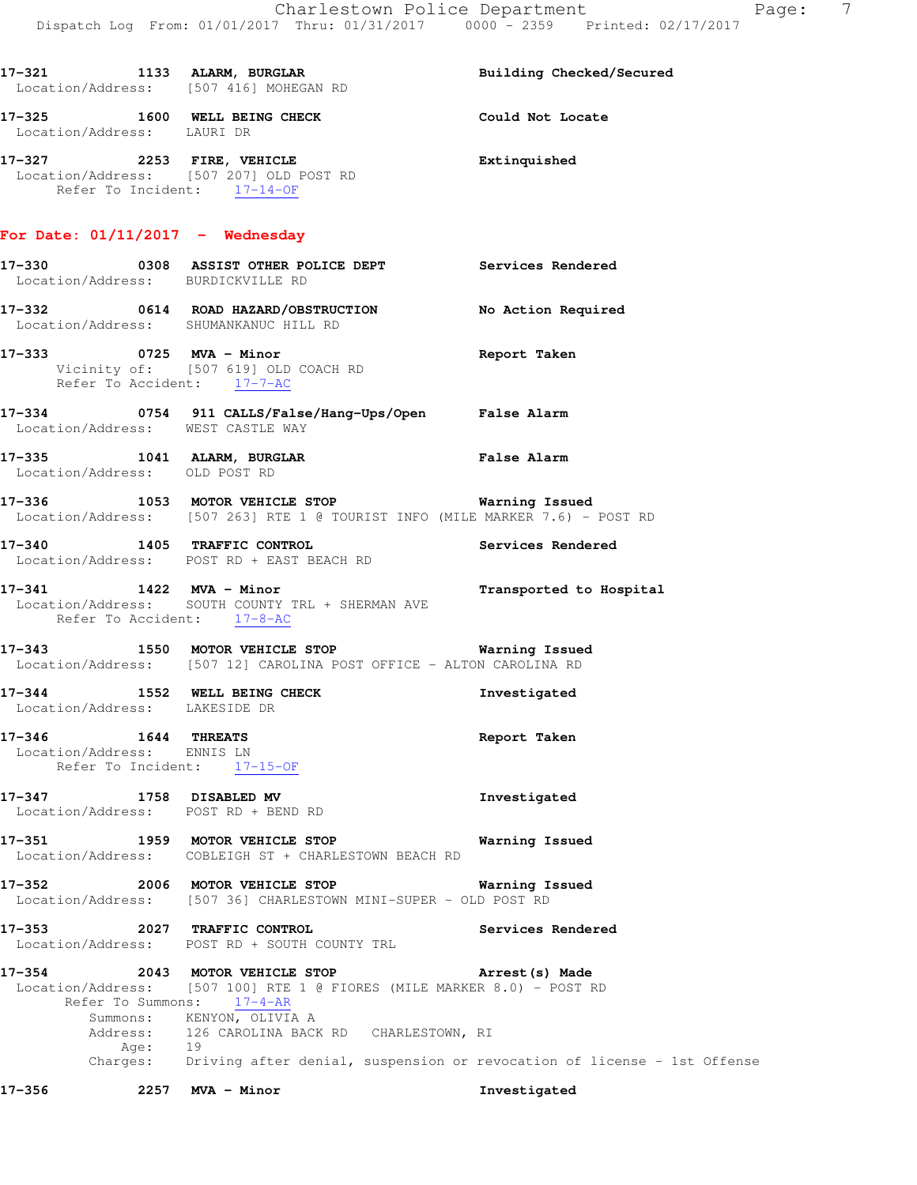|                                                   | 17-321 1133 ALARM, BURGLAR<br>Location/Address: [507 416] MOHEGAN RD                                                                                                      | Building Checked/Secured |
|---------------------------------------------------|---------------------------------------------------------------------------------------------------------------------------------------------------------------------------|--------------------------|
| Location/Address: LAURI DR                        | 17-325 1600 WELL BEING CHECK Could Not Locate                                                                                                                             |                          |
| Refer To Incident: 17-14-OF                       | 17-327 2253 FIRE, VEHICLE<br>Location/Address: [507 207] OLD POST RD                                                                                                      | Extinquished             |
| For Date: $01/11/2017$ - Wednesday                |                                                                                                                                                                           |                          |
|                                                   | 17-330 6308 ASSIST OTHER POLICE DEPT Services Rendered<br>Location/Address: BURDICKVILLE RD                                                                               |                          |
|                                                   | 17-332 0614 ROAD HAZARD/OBSTRUCTION No Action Required<br>Location/Address: SHUMANKANUC HILL RD                                                                           |                          |
| Refer To Accident: 17-7-AC                        | 17-333 0725 MVA - Minor<br>Vicinity of: [507 619] OLD COACH RD                                                                                                            | Report Taken             |
|                                                   | 17-334 0754 911 CALLS/False/Hang-Ups/Open False Alarm<br>Location/Address: WEST CASTLE WAY                                                                                |                          |
|                                                   | 17-335 1041 ALARM, BURGLAR<br>Location/Address: OLD POST RD                                                                                                               | False Alarm              |
|                                                   | 17-336 1053 MOTOR VEHICLE STOP <b>STOP</b> Warning Issued<br>Location/Address: [507 263] RTE 1 @ TOURIST INFO (MILE MARKER 7.6) - POST RD                                 |                          |
|                                                   | 17-340 1405 TRAFFIC CONTROL<br>Location/Address: POST RD + EAST BEACH RD                                                                                                  | Services Rendered        |
| Refer To Accident: 17-8-AC                        | 17-341 1422 MVA - Minor<br>Location/Address: SOUTH COUNTY TRL + SHERMAN AVE                                                                                               | Transported to Hospital  |
|                                                   | 17-343 1550 MOTOR VEHICLE STOP <b>Warning Issued</b><br>Location/Address: [507 12] CAROLINA POST OFFICE - ALTON CAROLINA RD                                               |                          |
| Location/Address: LAKESIDE DR                     | 17-344 1552 WELL BEING CHECK                                                                                                                                              | Investigated             |
| 17-346 1644 THREATS<br>Location/Address: ENNIS LN | Refer To Incident: 17-15-OF                                                                                                                                               | Report Taken             |
| 17-347 1758 DISABLED MV                           | Location/Address: POST RD + BEND RD                                                                                                                                       | Investigated             |
|                                                   | 17-351 1959 MOTOR VEHICLE STOP<br>Location/Address: COBLEIGH ST + CHARLESTOWN BEACH RD                                                                                    | Warning Issued           |
|                                                   | 17-352 2006 MOTOR VEHICLE STOP<br>Location/Address: [507 36] CHARLESTOWN MINI-SUPER - OLD POST RD                                                                         | Warning Issued           |
|                                                   | 17-353 2027 TRAFFIC CONTROL<br>Location/Address: POST RD + SOUTH COUNTY TRL                                                                                               | Services Rendered        |
|                                                   | 17-354 2043 MOTOR VEHICLE STOP<br>Location/Address: [507 100] RTE 1 @ FIORES (MILE MARKER 8.0) - POST RD<br>Refer To Summons: 17-4-AR                                     | Arrest (s) Made          |
|                                                   | Summons: KENYON, OLIVIA A<br>Address: 126 CAROLINA BACK RD CHARLESTOWN, RI<br>Age: 19<br>Charges: Driving after denial, suspension or revocation of license - 1st Offense |                          |
|                                                   |                                                                                                                                                                           |                          |

**17-356 2257 MVA - Minor Investigated**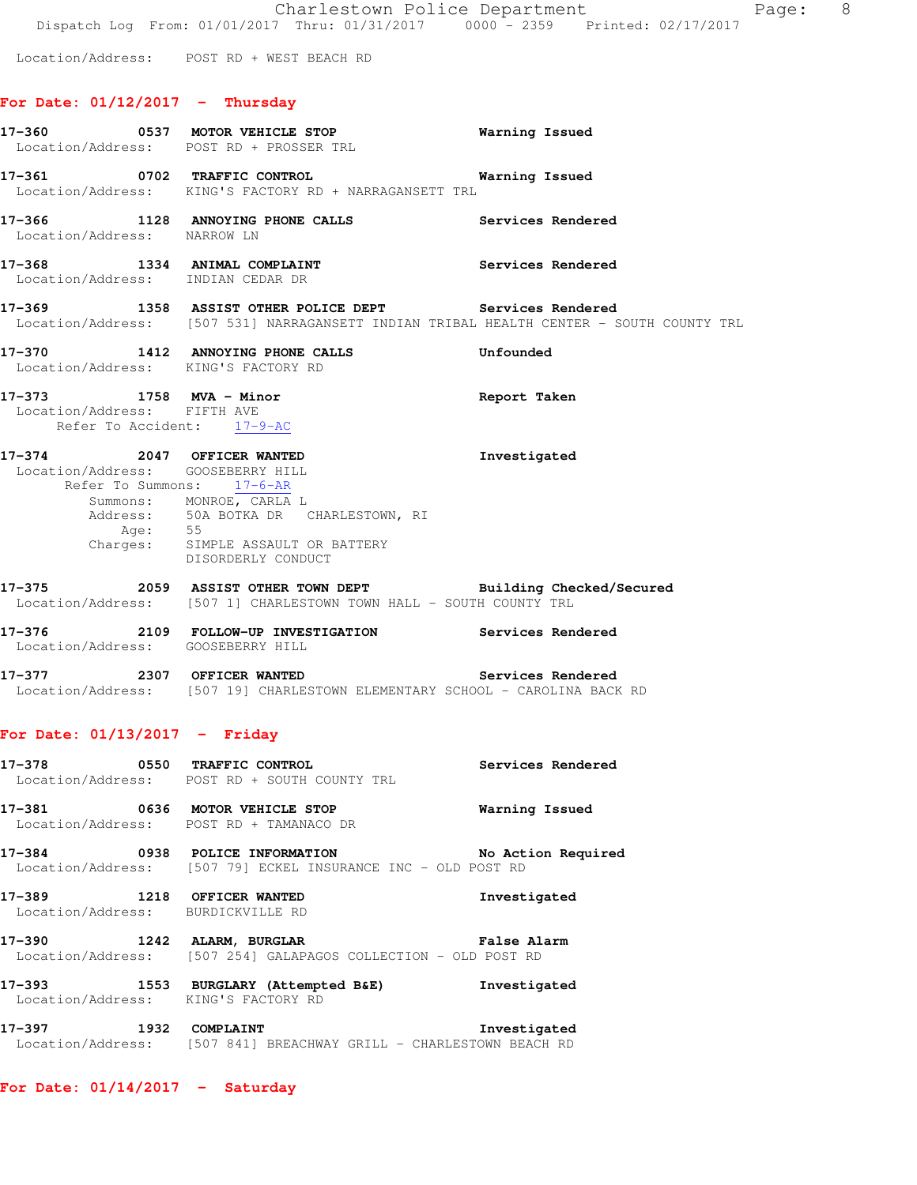Location/Address: POST RD + WEST BEACH RD

# **For Date: 01/12/2017 - Thursday**

|                                                                 | 17-360 0537 MOTOR VEHICLE STOP<br>Location/Address: POST RD + PROSSER TRL                                                                                                            | <b>Warning Issued</b> |
|-----------------------------------------------------------------|--------------------------------------------------------------------------------------------------------------------------------------------------------------------------------------|-----------------------|
|                                                                 | 17-361 0702 TRAFFIC CONTROL 2000 Warning Issued<br>Location/Address: KING'S FACTORY RD + NARRAGANSETT TRL                                                                            |                       |
| Location/Address: NARROW LN                                     | 17-366 1128 ANNOYING PHONE CALLS Services Rendered                                                                                                                                   |                       |
| Location/Address: INDIAN CEDAR DR                               | 17-368 1334 ANIMAL COMPLAINT Services Rendered                                                                                                                                       |                       |
|                                                                 | 17-369 1358 ASSIST OTHER POLICE DEPT Services Rendered<br>Location/Address: [507 531] NARRAGANSETT INDIAN TRIBAL HEALTH CENTER - SOUTH COUNTY TRL                                    |                       |
| Location/Address: KING'S FACTORY RD                             | 17-370 1412 ANNOYING PHONE CALLS Unfounded                                                                                                                                           |                       |
| Location/Address: FIFTH AVE<br>Refer To Accident: 17-9-AC       | 17-373 1758 MVA - Minor                                                                                                                                                              | Report Taken          |
| 17-374 2047 OFFICER WANTED<br>Location/Address: GOOSEBERRY HILL | Refer To Summons: 17-6-AR<br>Summons: MONROE, CARLA L<br>Address: 50A BOTKA DR CHARLESTOWN, RI<br>Age: 55<br>Charges: 55<br>Charges: SIMPLE ASSAULT OR BATTERY<br>DISORDERLY CONDUCT | Investigated          |
|                                                                 | 17-375 2059 ASSIST OTHER TOWN DEPT Building Checked/Secured<br>Location/Address: [507 1] CHARLESTOWN TOWN HALL - SOUTH COUNTY TRL                                                    |                       |
| Location/Address: GOOSEBERRY HILL                               | 17-376 2109 FOLLOW-UP INVESTIGATION Services Rendered                                                                                                                                |                       |
|                                                                 | 17-377 2307 OFFICER WANTED Services Rendered<br>Location/Address: [507 19] CHARLESTOWN ELEMENTARY SCHOOL - CAROLINA BACK RD                                                          |                       |
| For Date: $01/13/2017$ - Friday                                 |                                                                                                                                                                                      |                       |
|                                                                 | 17-378 0550 TRAFFIC CONTROL<br>Location/Address: POST RD + SOUTH COUNTY TRL                                                                                                          | Services Rendered     |
|                                                                 | 17-381 0636 MOTOR VEHICLE STOP<br>Location/Address: POST RD + TAMANACO DR                                                                                                            | Warning Issued        |
|                                                                 | 17-384 0938 POLICE INFORMATION<br>Location/Address: [507 79] ECKEL INSURANCE INC - OLD POST RD                                                                                       | No Action Required    |
| 17-389 1218 OFFICER WANTED<br>Location/Address: BURDICKVILLE RD |                                                                                                                                                                                      | Investigated          |
| 17-390 1242 ALARM, BURGLAR                                      | Location/Address: [507 254] GALAPAGOS COLLECTION - OLD POST RD                                                                                                                       | False Alarm           |
|                                                                 | 17-393 1553 BURGLARY (Attempted B&E) Investigated<br>Location/Address: KING'S FACTORY RD                                                                                             |                       |
| 17-397 1932 COMPLAINT                                           | Location/Address: [507 841] BREACHWAY GRILL - CHARLESTOWN BEACH RD                                                                                                                   | Investigated          |

**For Date: 01/14/2017 - Saturday**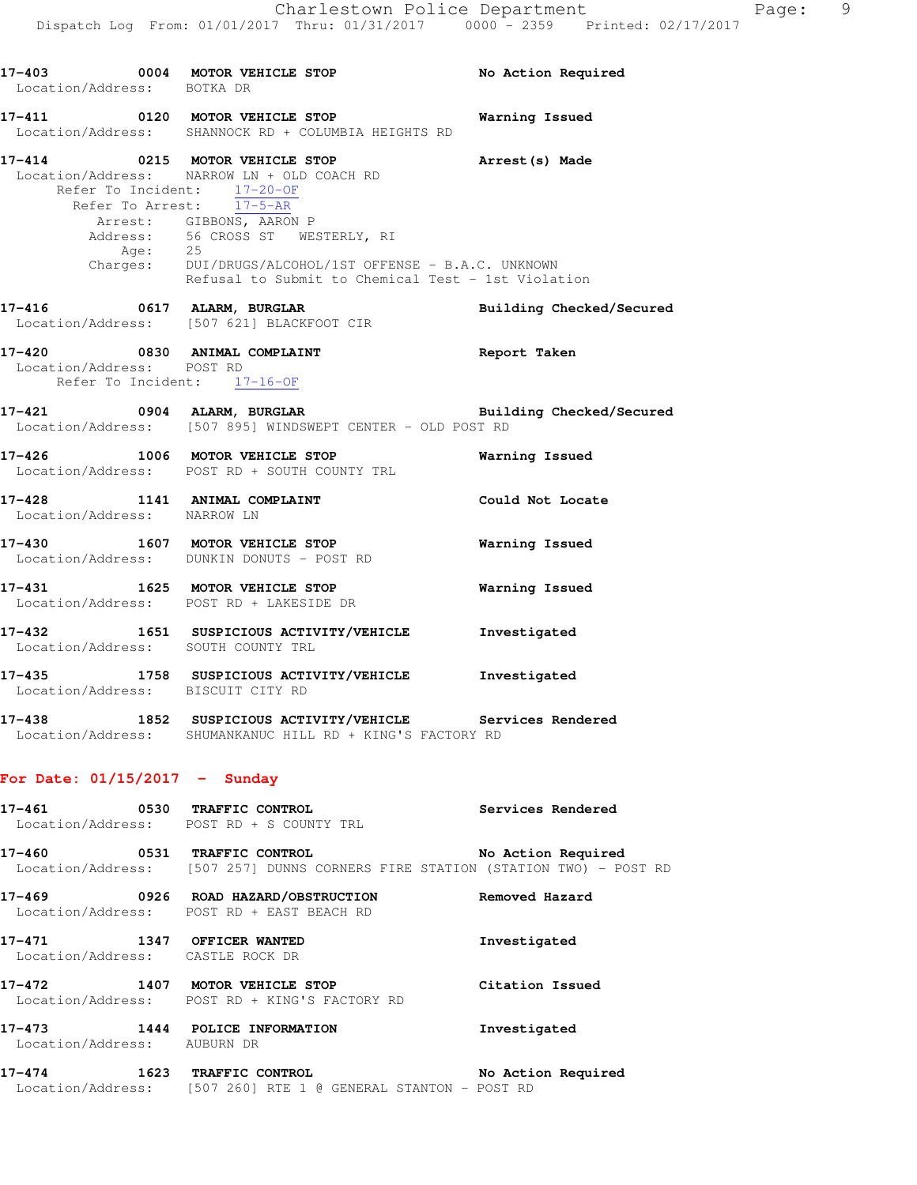| Location/Address: BOTKA DR      | 17-403 0004 MOTOR VEHICLE STOP No Action Required                                                                                                                                                                                                                                                                                                          |                          |
|---------------------------------|------------------------------------------------------------------------------------------------------------------------------------------------------------------------------------------------------------------------------------------------------------------------------------------------------------------------------------------------------------|--------------------------|
|                                 | 17-411 0120 MOTOR VEHICLE STOP Warning Issued<br>Location/Address: SHANNOCK RD + COLUMBIA HEIGHTS RD                                                                                                                                                                                                                                                       |                          |
|                                 | 17-414 0215 MOTOR VEHICLE STOP <b>Arrest(s) Made</b><br>Location/Address: NARROW LN + OLD COACH RD<br>Refer To Incident: 17-20-OF<br>Refer To Arrest: 17-5-AR<br>Arrest: GIBBONS, AARON P<br>Address: 56 CROSS ST WESTERLY, RI<br>Age: 25<br>Charges: DUI/DRUGS/ALCOHOL/1ST OFFENSE - B.A.C. UNKNOWN<br>Refusal to Submit to Chemical Test - 1st Violation |                          |
|                                 | 17-416 0617 ALARM, BURGLAR<br>Location/Address: [507 621] BLACKFOOT CIR                                                                                                                                                                                                                                                                                    | Building Checked/Secured |
|                                 | 17-420 0830 ANIMAL COMPLAINT<br>Location/Address: POST RD<br>Refer To Incident: 17-16-OF                                                                                                                                                                                                                                                                   | Report Taken             |
|                                 | 17-421 0904 ALARM, BURGLAR <b>Example 2018</b> Building Checked/Secured<br>Location/Address: [507 895] WINDSWEPT CENTER - OLD POST RD                                                                                                                                                                                                                      |                          |
|                                 | 17-426 1006 MOTOR VEHICLE STOP<br>Location/Address: POST RD + SOUTH COUNTY TRL                                                                                                                                                                                                                                                                             | Warning Issued           |
| Location/Address: NARROW LN     | 17-428 1141 ANIMAL COMPLAINT COULD Could Not Locate                                                                                                                                                                                                                                                                                                        |                          |
|                                 | 17-430 1607 MOTOR VEHICLE STOP<br>Location/Address: DUNKIN DONUTS - POST RD                                                                                                                                                                                                                                                                                | <b>Warning Issued</b>    |
|                                 | 17-431 1625 MOTOR VEHICLE STOP<br>Location/Address: POST RD + LAKESIDE DR                                                                                                                                                                                                                                                                                  | <b>Warning Issued</b>    |
|                                 | 17-432 1651 SUSPICIOUS ACTIVITY/VEHICLE Investigated<br>Location/Address: SOUTH COUNTY TRL                                                                                                                                                                                                                                                                 |                          |
|                                 | 17-435 1758 SUSPICIOUS ACTIVITY/VEHICLE 1nvestigated<br>Location/Address: BISCUIT CITY RD                                                                                                                                                                                                                                                                  |                          |
| $17 - 438$                      | 1852 SUSPICIOUS ACTIVITY/VEHICLE Services Rendered<br>Location/Address: SHUMANKANUC HILL RD + KING'S FACTORY RD                                                                                                                                                                                                                                            |                          |
| For Date: $01/15/2017$ - Sunday |                                                                                                                                                                                                                                                                                                                                                            |                          |
|                                 | 17-461 0530 TRAFFIC CONTROL<br>Location/Address: POST RD + S COUNTY TRL                                                                                                                                                                                                                                                                                    | <b>Services Rendered</b> |
|                                 | 17-460 0531 TRAFFIC CONTROL<br>Location/Address: [507 257] DUNNS CORNERS FIRE STATION (STATION TWO) - POST RD                                                                                                                                                                                                                                              | No Action Required       |
|                                 | 17-469 0926 ROAD HAZARD/OBSTRUCTION<br>Location/Address: POST RD + EAST BEACH RD                                                                                                                                                                                                                                                                           | Removed Hazard           |
|                                 | 17-471 1347 OFFICER WANTED<br>Location/Address: CASTLE ROCK DR                                                                                                                                                                                                                                                                                             | Investigated             |
|                                 | 17-472 1407 MOTOR VEHICLE STOP<br>Location/Address: POST RD + KING'S FACTORY RD                                                                                                                                                                                                                                                                            | Citation Issued          |
| 17-473                          | 1444 POLICE INFORMATION                                                                                                                                                                                                                                                                                                                                    | Investigated             |

Location/Address: AUBURN DR

#### **17-474 1623 TRAFFIC CONTROL No Action Required**  Location/Address: [507 260] RTE 1 @ GENERAL STANTON - POST RD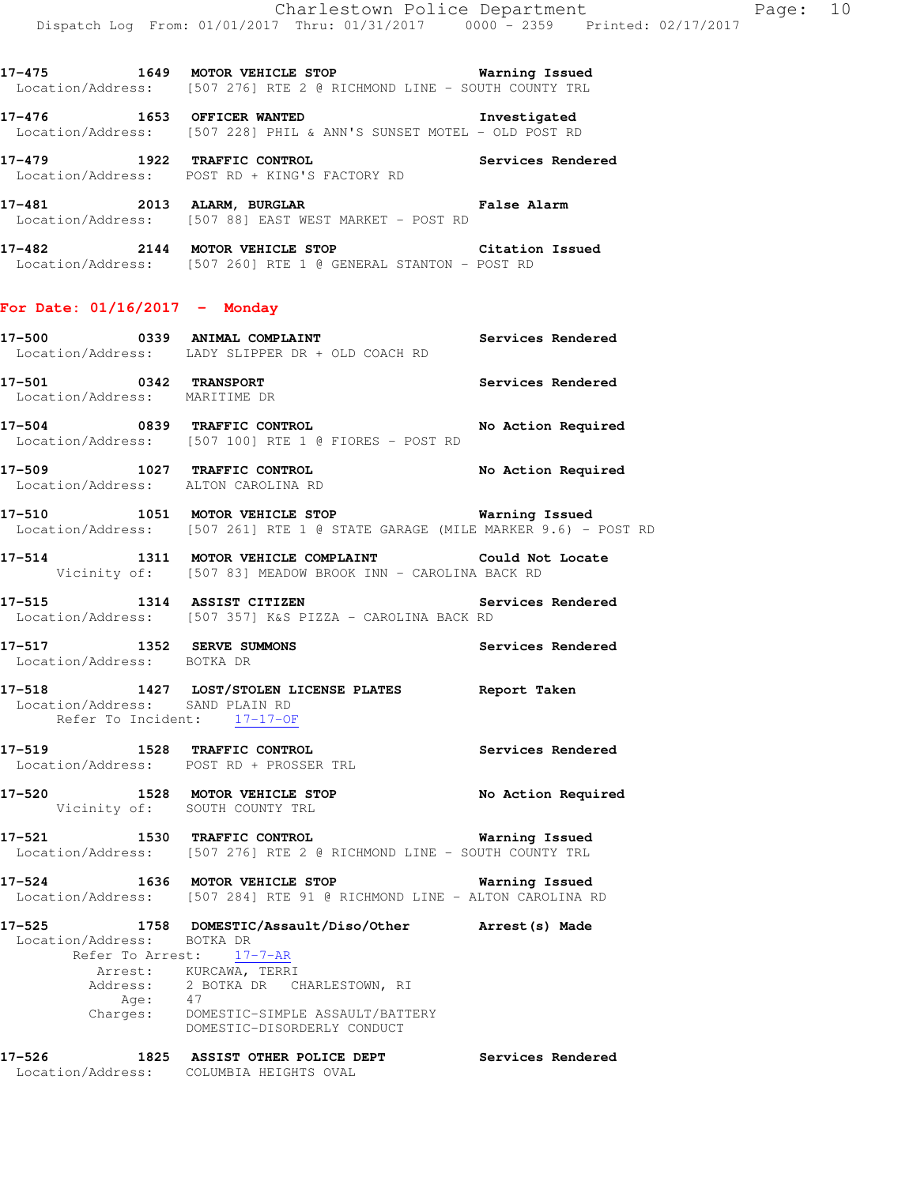**17-475 1649 MOTOR VEHICLE STOP Warning Issued**  Location/Address: [507 276] RTE 2 @ RICHMOND LINE - SOUTH COUNTY TRL

**17-476 1653 OFFICER WANTED Investigated**  Location/Address: [507 228] PHIL & ANN'S SUNSET MOTEL - OLD POST RD

**17-479 1922 TRAFFIC CONTROL Services Rendered**  Location/Address: POST RD + KING'S FACTORY RD

**17-481 2013 ALARM, BURGLAR False Alarm**  Location/Address: [507 88] EAST WEST MARKET - POST RD

**17-482 2144 MOTOR VEHICLE STOP Citation Issued**  Location/Address: [507 260] RTE 1 @ GENERAL STANTON - POST RD

### **For Date: 01/16/2017 - Monday**

**17-500 0339 ANIMAL COMPLAINT Services Rendered**  Location/Address: LADY SLIPPER DR + OLD COACH RD

**17-501 0342 TRANSPORT Services Rendered**  Location/Address: MARITIME DR

**17-504 0839 TRAFFIC CONTROL No Action Required**  Location/Address: [507 100] RTE 1 @ FIORES - POST RD

**17-509 1027 TRAFFIC CONTROL No Action Required**  Location/Address: ALTON CAROLINA RD

**17-510 1051 MOTOR VEHICLE STOP Warning Issued**  Location/Address: [507 261] RTE 1 @ STATE GARAGE (MILE MARKER 9.6) - POST RD

**17-514 1311 MOTOR VEHICLE COMPLAINT Could Not Locate**  Vicinity of: [507 83] MEADOW BROOK INN - CAROLINA BACK RD

**17-515 1314 ASSIST CITIZEN Services Rendered**  Location/Address: [507 357] K&S PIZZA - CAROLINA BACK RD

**17-517 1352 SERVE SUMMONS Services Rendered**  Location/Address: BOTKA DR

**17-518 1427 LOST/STOLEN LICENSE PLATES Report Taken**  Location/Address: SAND PLAIN RD Refer To Incident: 17-17-OF

**17-519 1528 TRAFFIC CONTROL Services Rendered**  Location/Address: POST RD + PROSSER TRL

**17-520 1528 MOTOR VEHICLE STOP No Action Required**  Vicinity of: SOUTH COUNTY TRL

**17-521 1530 TRAFFIC CONTROL Warning Issued**  Location/Address: [507 276] RTE 2 @ RICHMOND LINE - SOUTH COUNTY TRL

**17-524 1636 MOTOR VEHICLE STOP Warning Issued**  Location/Address: [507 284] RTE 91 @ RICHMOND LINE - ALTON CAROLINA RD

**17-525 1758 DOMESTIC/Assault/Diso/Other Arrest(s) Made**  Location/Address: BOTKA DR Refer To Arrest: 17-7-AR Arrest: KURCAWA, TERRI Address: 2 BOTKA DR CHARLESTOWN, RI Age: 47 Charges: DOMESTIC-SIMPLE ASSAULT/BATTERY DOMESTIC-DISORDERLY CONDUCT **17-526 1825 ASSIST OTHER POLICE DEPT Services Rendered**  Location/Address: COLUMBIA HEIGHTS OVAL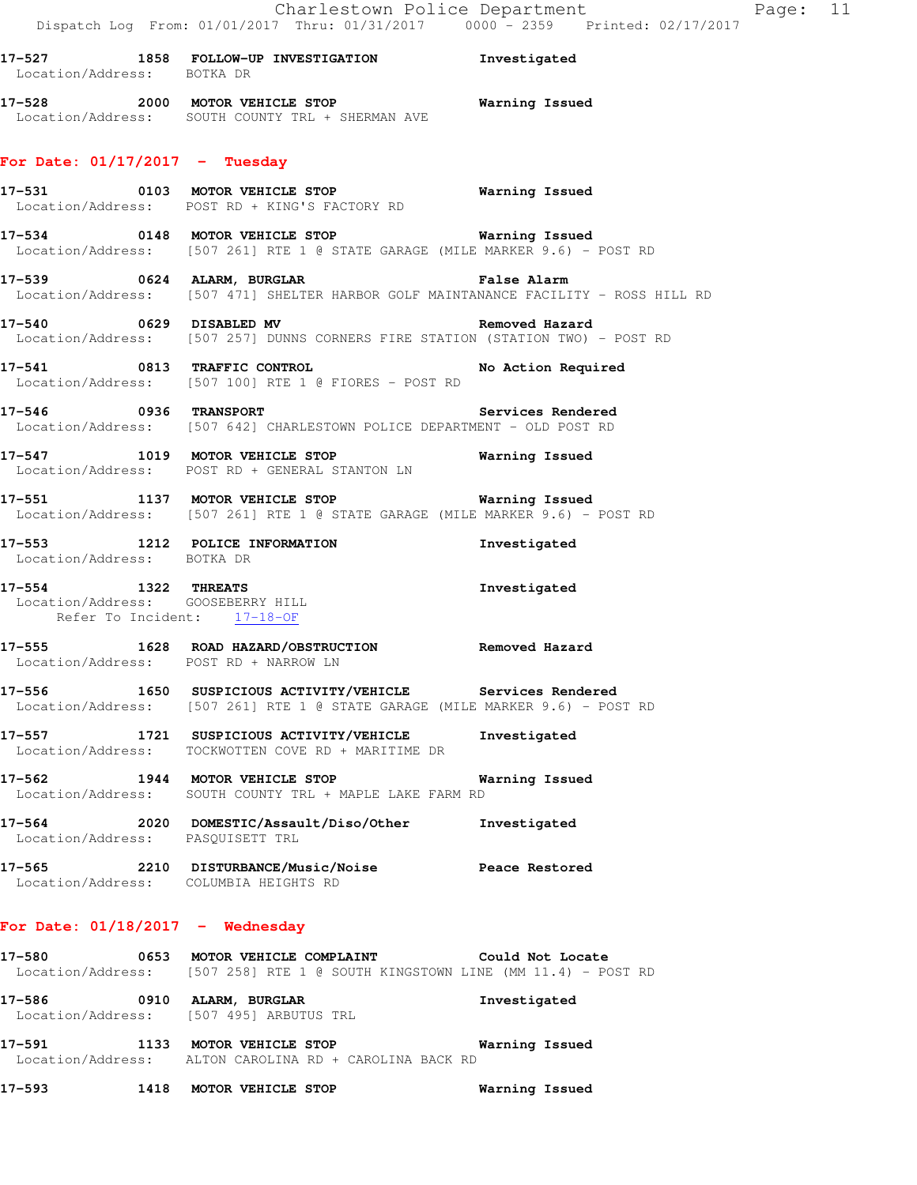| 17–527            | 1858 | FOLLOW-UP INVESTIGATION | Investigated   |
|-------------------|------|-------------------------|----------------|
| Location/Address: |      | BOTKA DR                |                |
| 17–528            | 2000 | MOTOR VEHICLE STOP      | Warning Issued |

## **For Date: 01/17/2017 - Tuesday**

**17-531 0103 MOTOR VEHICLE STOP Warning Issued**  Location/Address: POST RD + KING'S FACTORY RD

Location/Address: SOUTH COUNTY TRL + SHERMAN AVE

- **17-534 0148 MOTOR VEHICLE STOP Warning Issued**  Location/Address: [507 261] RTE 1 @ STATE GARAGE (MILE MARKER 9.6) - POST RD
- **17-539 0624 ALARM, BURGLAR False Alarm**  Location/Address: [507 471] SHELTER HARBOR GOLF MAINTANANCE FACILITY - ROSS HILL RD
- **17-540 0629 DISABLED MV Removed Hazard**  Location/Address: [507 257] DUNNS CORNERS FIRE STATION (STATION TWO) - POST RD
- **17-541 0813 TRAFFIC CONTROL No Action Required**  Location/Address: [507 100] RTE 1 @ FIORES - POST RD
- **17-546 0936 TRANSPORT Services Rendered**  Location/Address: [507 642] CHARLESTOWN POLICE DEPARTMENT - OLD POST RD
- **17-547 1019 MOTOR VEHICLE STOP Warning Issued**  Location/Address: POST RD + GENERAL STANTON LN
- **17-551 1137 MOTOR VEHICLE STOP Warning Issued**  Location/Address: [507 261] RTE 1 @ STATE GARAGE (MILE MARKER 9.6) - POST RD
- **17-553 1212 POLICE INFORMATION Investigated**  Location/Address: BOTKA DR
- **17-554 1322 THREATS Investigated**  Location/Address: GOOSEBERRY HILL Refer To Incident: 17-18-OF
- **17-555 1628 ROAD HAZARD/OBSTRUCTION Removed Hazard**  Location/Address: POST RD + NARROW LN
- **17-556 1650 SUSPICIOUS ACTIVITY/VEHICLE Services Rendered**  Location/Address: [507 261] RTE 1 @ STATE GARAGE (MILE MARKER 9.6) - POST RD
- **17-557 1721 SUSPICIOUS ACTIVITY/VEHICLE Investigated**  Location/Address: TOCKWOTTEN COVE RD + MARITIME DR
- **17-562 1944 MOTOR VEHICLE STOP Warning Issued**  Location/Address: SOUTH COUNTY TRL + MAPLE LAKE FARM RD
- **17-564 2020 DOMESTIC/Assault/Diso/Other Investigated**  Location/Address: PASQUISETT TRL
- **17-565 2210 DISTURBANCE/Music/Noise Peace Restored**  Location/Address: COLUMBIA HEIGHTS RD

#### **For Date: 01/18/2017 - Wednesday**

- **17-580 0653 MOTOR VEHICLE COMPLAINT Could Not Locate**  Location/Address: [507 258] RTE 1 @ SOUTH KINGSTOWN LINE (MM 11.4) - POST RD
- **17-586 0910 ALARM, BURGLAR Investigated**  Location/Address: [507 495] ARBUTUS TRL
- **17-591 1133 MOTOR VEHICLE STOP Warning Issued**  Location/Address: ALTON CAROLINA RD + CAROLINA BACK RD
- **17-593 1418 MOTOR VEHICLE STOP Warning Issued**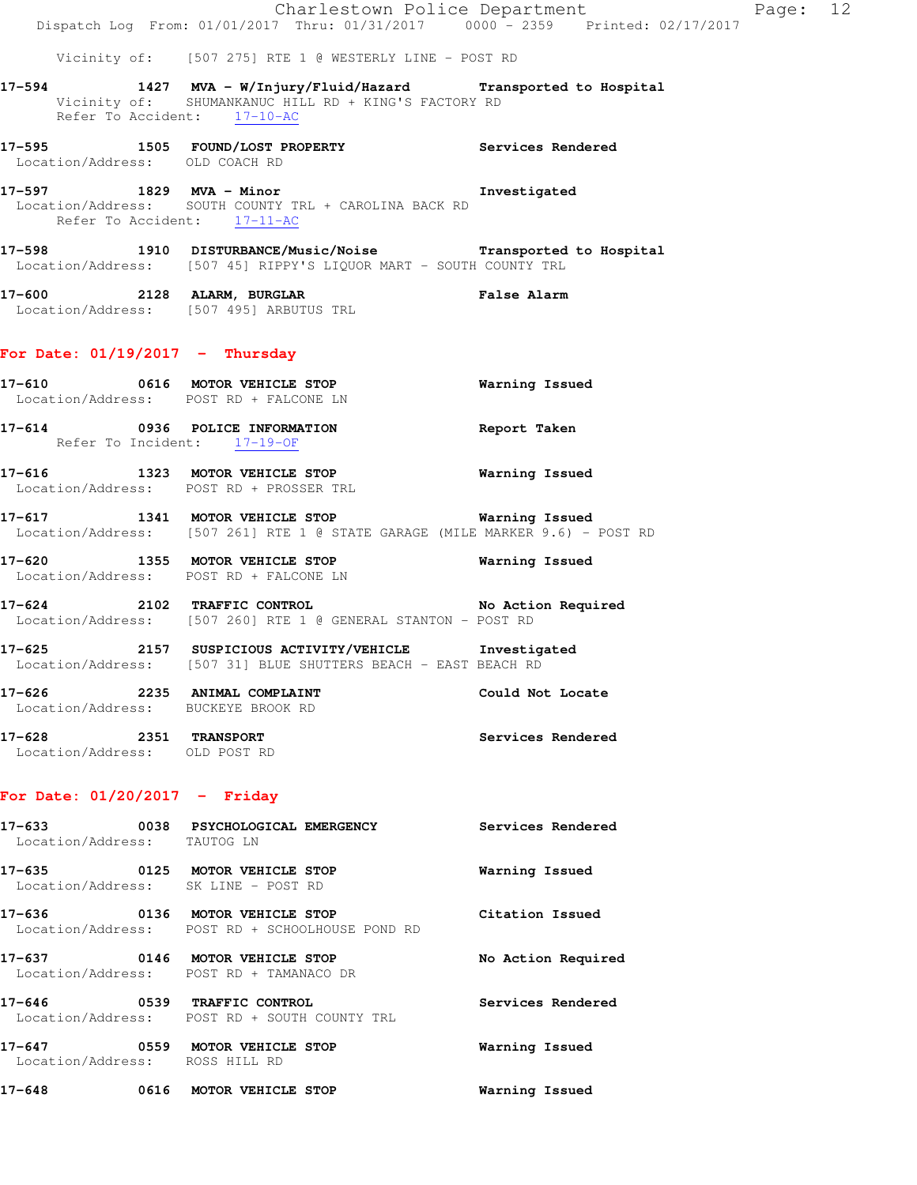|        |                             | Dispatch Log From: 01/01/2017 Thru: 01/31/2017 0000 - 2359 Printed: 02/17/2017                                                                                                                          | Charlestown Police Department | Page: 12 |  |
|--------|-----------------------------|---------------------------------------------------------------------------------------------------------------------------------------------------------------------------------------------------------|-------------------------------|----------|--|
|        |                             | Vicinity of: [507 275] RTE 1 @ WESTERLY LINE - POST RD                                                                                                                                                  |                               |          |  |
|        |                             | 17-594 1427 MVA - W/Injury/Fluid/Hazard Transported to Hospital<br>Vicinity of: SHUMANKANUC HILL RD + KING'S FACTORY RD<br>Refer To Accident: 17-10-AC                                                  |                               |          |  |
|        |                             | 17-595 1505 FOUND/LOST PROPERTY 1999 Services Rendered<br>Location/Address: OLD COACH RD                                                                                                                |                               |          |  |
|        |                             | 17-597 1829 MVA - Minor Change of The Structure of The Muslim Control of The Muslim Control of The Muslim Contr<br>Location/Address: SOUTH COUNTY TRL + CAROLINA BACK RD<br>Refer To Accident: 17-11-AC |                               |          |  |
|        |                             | 17-598 1910 DISTURBANCE/Music/Noise Transported to Hospital Location/Address: [507 45] RIPPY'S LIQUOR MART - SOUTH COUNTY TRL                                                                           |                               |          |  |
|        |                             | 17-600 2128 ALARM, BURGLAR<br>Location/Address: [507 495] ARBUTUS TRL                                                                                                                                   | <b>False Alarm</b>            |          |  |
|        |                             | For Date: $01/19/2017$ - Thursday                                                                                                                                                                       |                               |          |  |
|        |                             | 17-610 0616 MOTOR VEHICLE STOP<br>Location/Address: POST RD + FALCONE LN                                                                                                                                | <b>Warning Issued</b>         |          |  |
|        |                             | 17-614 0936 POLICE INFORMATION<br>Refer To Incident: 17-19-OF                                                                                                                                           | Report Taken                  |          |  |
|        |                             | 17-616 1323 MOTOR VEHICLE STOP<br>Location/Address: POST RD + PROSSER TRL                                                                                                                               | <b>Warning Issued</b>         |          |  |
|        |                             | 17-617 1341 MOTOR VEHICLE STOP 12 Warning Issued<br>Location/Address: [507 261] RTE 1 @ STATE GARAGE (MILE MARKER 9.6) - POST RD                                                                        |                               |          |  |
|        |                             | 17-620 1355 MOTOR VEHICLE STOP 6 Warning Issued<br>Location/Address: POST RD + FALCONE LN                                                                                                               |                               |          |  |
|        |                             | 17-624 2102 TRAFFIC CONTROL No Action Required<br>Location/Address: [507 260] RTE 1 @ GENERAL STANTON - POST RD                                                                                         |                               |          |  |
|        |                             | 17-625 2157 SUSPICIOUS ACTIVITY/VEHICLE Investigated<br>Location/Address: [507 31] BLUE SHUTTERS BEACH - EAST BEACH RD                                                                                  |                               |          |  |
|        |                             | 17-626 2235 ANIMAL COMPLAINT<br>Location/Address: BUCKEYE BROOK RD                                                                                                                                      | Could Not Locate              |          |  |
|        |                             | 17-628 2351 TRANSPORT<br>Location/Address: OLD POST RD                                                                                                                                                  | Services Rendered             |          |  |
|        |                             | For Date: $01/20/2017$ - Friday                                                                                                                                                                         |                               |          |  |
|        | Location/Address: TAUTOG LN | 17-633 0038 PSYCHOLOGICAL EMERGENCY                                                                                                                                                                     | Services Rendered             |          |  |
|        |                             | 17-635 0125 MOTOR VEHICLE STOP<br>Location/Address: SK LINE - POST RD                                                                                                                                   | Warning Issued                |          |  |
|        |                             | 17-636 0136 MOTOR VEHICLE STOP<br>Location/Address: POST RD + SCHOOLHOUSE POND RD                                                                                                                       | Citation Issued               |          |  |
|        |                             | 17-637 0146 MOTOR VEHICLE STOP<br>Location/Address: POST RD + TAMANACO DR                                                                                                                               | No Action Required            |          |  |
|        |                             | 17-646 0539 TRAFFIC CONTROL<br>Location/Address: POST RD + SOUTH COUNTY TRL                                                                                                                             | Services Rendered             |          |  |
|        |                             | 17-647 0559 MOTOR VEHICLE STOP<br>Location/Address: ROSS HILL RD                                                                                                                                        | Warning Issued                |          |  |
| 17-648 |                             | 0616 MOTOR VEHICLE STOP                                                                                                                                                                                 | Warning Issued                |          |  |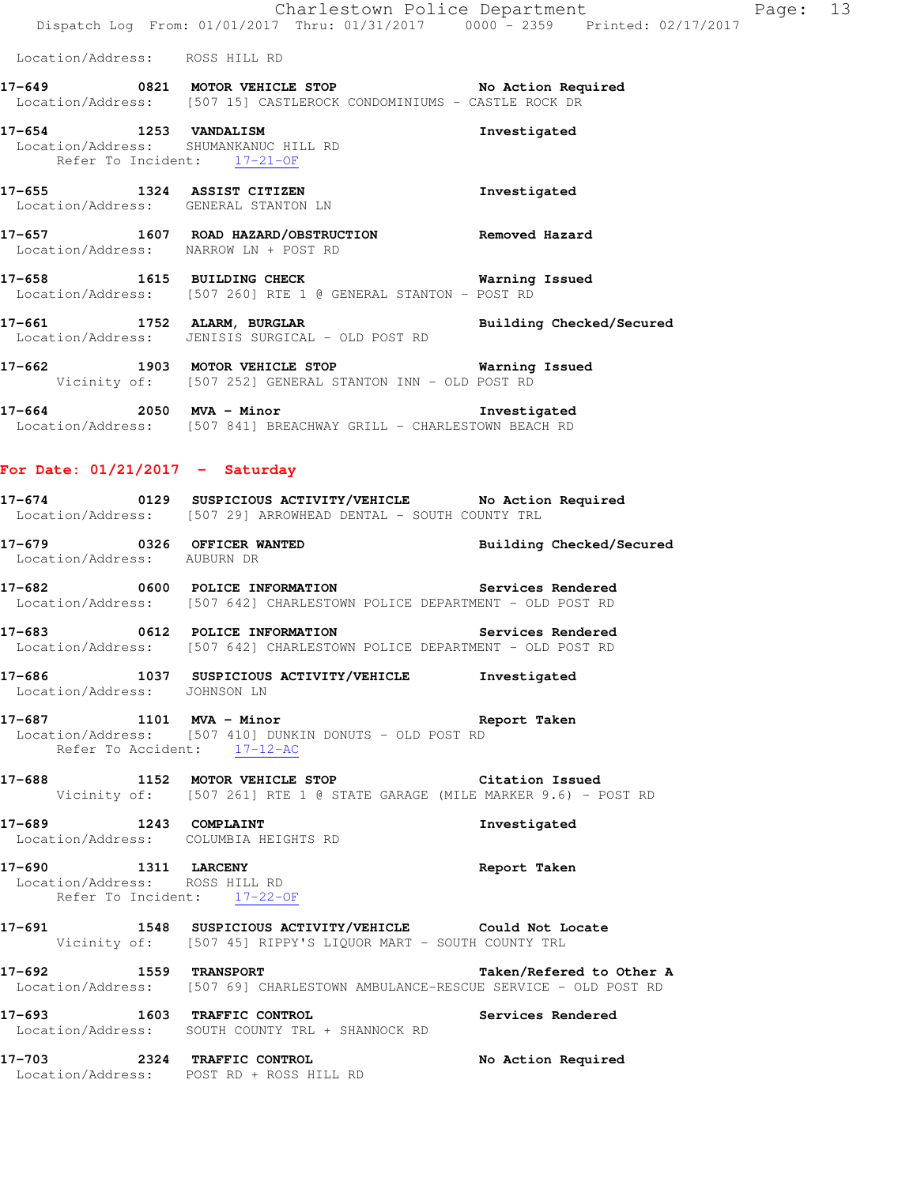Location/Address: [507 15] CASTLEROCK CONDOMINIUMS - CASTLE ROCK DR

**17-654 1253 VANDALISM Investigated**  Location/Address: SHUMANKANUC HILL RD Refer To Incident: 17-21-OF

**17-655 1324 ASSIST CITIZEN Investigated**  Location/Address: GENERAL STANTON LN

**17-657 1607 ROAD HAZARD/OBSTRUCTION Removed Hazard**  Location/Address: NARROW LN + POST RD

**17-658 1615 BUILDING CHECK Warning Issued**  Location/Address: [507 260] RTE 1 @ GENERAL STANTON - POST RD

**17-661 1752 ALARM, BURGLAR Building Checked/Secured**  Location/Address: JENISIS SURGICAL - OLD POST RD

**17-662 1903 MOTOR VEHICLE STOP Warning Issued**  Vicinity of: [507 252] GENERAL STANTON INN - OLD POST RD

**17-664 2050 MVA - Minor Investigated**  Location/Address: [507 841] BREACHWAY GRILL - CHARLESTOWN BEACH RD

# **For Date: 01/21/2017 - Saturday**

- **17-674 0129 SUSPICIOUS ACTIVITY/VEHICLE No Action Required**  Location/Address: [507 29] ARROWHEAD DENTAL - SOUTH COUNTY TRL
- **17-679 0326 OFFICER WANTED Building Checked/Secured**  Location/Address: AUBURN DR

**17-682 0600 POLICE INFORMATION Services Rendered**  Location/Address: [507 642] CHARLESTOWN POLICE DEPARTMENT - OLD POST RD

**17-683 0612 POLICE INFORMATION Services Rendered**  Location/Address: [507 642] CHARLESTOWN POLICE DEPARTMENT - OLD POST RD

**17-686 1037 SUSPICIOUS ACTIVITY/VEHICLE Investigated**  Location/Address: JOHNSON LN

**17-687 1101 MVA - Minor Report Taken**  Location/Address: [507 410] DUNKIN DONUTS - OLD POST RD Refer To Accident: 17-12-AC

**17-688 1152 MOTOR VEHICLE STOP Citation Issued**  Vicinity of: [507 261] RTE 1 @ STATE GARAGE (MILE MARKER 9.6) - POST RD

**17-689 1243 COMPLAINT Investigated**  Location/Address: COLUMBIA HEIGHTS RD

**17-690 1311 LARCENY Report Taken**  Location/Address: ROSS HILL RD Refer To Incident: 17-22-OF

**17-691 1548 SUSPICIOUS ACTIVITY/VEHICLE Could Not Locate**  Vicinity of: [507 45] RIPPY'S LIQUOR MART - SOUTH COUNTY TRL

**17-692 1559 TRANSPORT Taken/Refered to Other A**  Location/Address: [507 69] CHARLESTOWN AMBULANCE-RESCUE SERVICE - OLD POST RD

**17-693 1603 TRAFFIC CONTROL Services Rendered**  Location/Address: SOUTH COUNTY TRL + SHANNOCK RD

**17-703 2324 TRAFFIC CONTROL No Action Required**  Location/Address: POST RD + ROSS HILL RD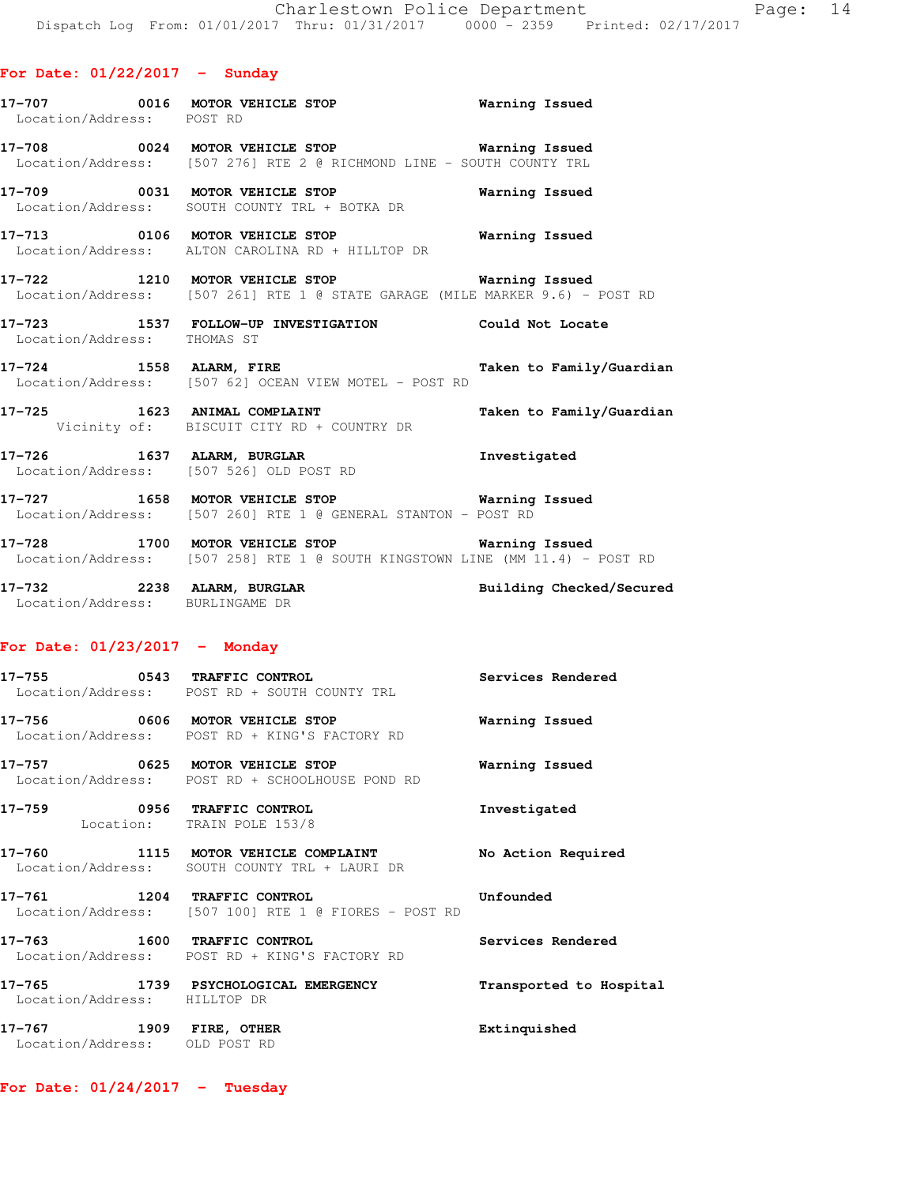| Location/Address: POST RD       | 17-707 0016 MOTOR VEHICLE STOP 6 Warning Issued                                                                                      |                          |
|---------------------------------|--------------------------------------------------------------------------------------------------------------------------------------|--------------------------|
|                                 | 17-708 0024 MOTOR VEHICLE STOP 6 Warning Issued<br>Location/Address: [507 276] RTE 2 @ RICHMOND LINE - SOUTH COUNTY TRL              |                          |
|                                 | 17-709 0031 MOTOR VEHICLE STOP <b>Warning Issued</b><br>Location/Address: SOUTH COUNTY TRL + BOTKA DR                                |                          |
|                                 | 17-713 0106 MOTOR VEHICLE STOP 6 Warning Issued<br>Location/Address: ALTON CAROLINA RD + HILLTOP DR                                  |                          |
|                                 | 17-722 1210 MOTOR VEHICLE STOP <b>Warning Issued</b><br>Location/Address: [507 261] RTE 1 @ STATE GARAGE (MILE MARKER 9.6) - POST RD |                          |
| Location/Address: THOMAS ST     | 17-723 1537 FOLLOW-UP INVESTIGATION Could Not Locate                                                                                 |                          |
|                                 | 17-724 1558 ALARM, FIRE<br>Location/Address: [507 62] OCEAN VIEW MOTEL - POST RD                                                     | Taken to Family/Guardian |
|                                 | Vicinity of: BISCUIT CITY RD + COUNTRY DR                                                                                            | Taken to Family/Guardian |
|                                 | 17-726 1637 ALARM, BURGLAR 10 Investigated<br>Location/Address: [507 526] OLD POST RD                                                |                          |
|                                 | 17-727 1658 MOTOR VEHICLE STOP 6 Warning Issued<br>Location/Address: [507 260] RTE 1 @ GENERAL STANTON - POST RD                     |                          |
|                                 | 17-728 1700 MOTOR VEHICLE STOP 6 Warning Issued<br>Location/Address: [507 258] RTE 1 @ SOUTH KINGSTOWN LINE (MM 11.4) - POST RD      |                          |
| Location/Address: BURLINGAME DR | 17-732 2238 ALARM, BURGLAR BURGLAR Building Checked/Secured                                                                          |                          |
| For Date: $01/23/2017$ - Monday |                                                                                                                                      |                          |
|                                 | 17-755 0543 TRAFFIC CONTROL<br>Location/Address: POST RD + SOUTH COUNTY TRL                                                          | Services Rendered        |

**17-756 0606 MOTOR VEHICLE STOP Warning Issued**  Location/Address: POST RD + KING'S FACTORY RD

**17-757 0625 MOTOR VEHICLE STOP Warning Issued**  Location/Address: POST RD + SCHOOLHOUSE POND RD

**17-759 0956 TRAFFIC CONTROL Investigated**  Location: TRAIN POLE 153/8

**17-760 1115 MOTOR VEHICLE COMPLAINT No Action Required**  Location/Address: SOUTH COUNTY TRL + LAURI DR

**17-761 1204 TRAFFIC CONTROL Unfounded**  Location/Address: [507 100] RTE 1 @ FIORES - POST RD

**17-763 1600 TRAFFIC CONTROL Services Rendered**  Location/Address: POST RD + KING'S FACTORY RD

**17-765 1739 PSYCHOLOGICAL EMERGENCY Transported to Hospital**  Location/Address: HILLTOP DR **17-767 1909 FIRE, OTHER Extinquished**  Location/Address: OLD POST RD

**For Date: 01/24/2017 - Tuesday**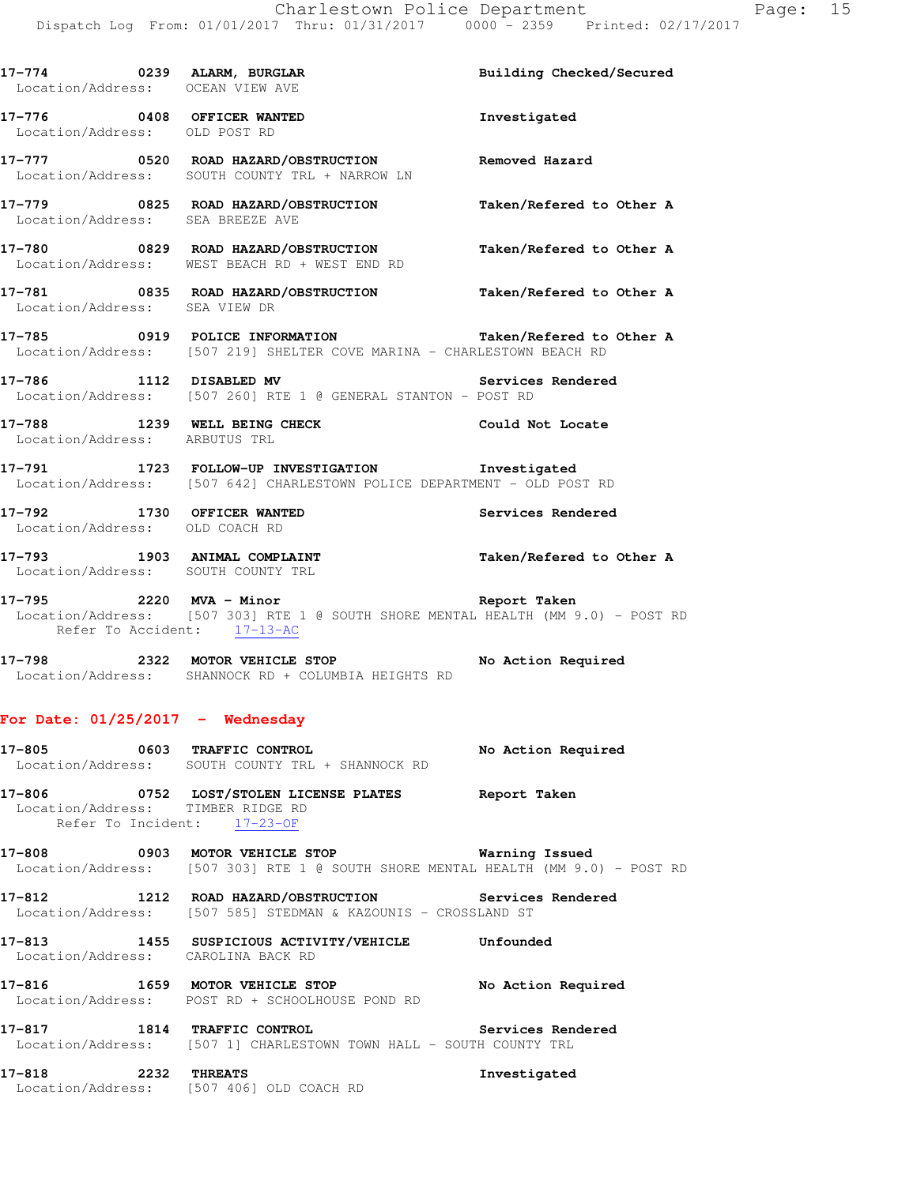| 17-774 0239 ALARM, BURGLAR<br>Location/Address: OCEAN VIEW AVE |                                                                                                                                          | Building Checked/Secured |
|----------------------------------------------------------------|------------------------------------------------------------------------------------------------------------------------------------------|--------------------------|
| Location/Address: OLD POST RD                                  | 17-776 0408 OFFICER WANTED                                                                                                               | Investigated             |
|                                                                | 17-777 6520 ROAD HAZARD/OBSTRUCTION Removed Hazard<br>Location/Address: SOUTH COUNTY TRL + NARROW LN                                     |                          |
| Location/Address: SEA BREEZE AVE                               | 17-779 0825 ROAD HAZARD/OBSTRUCTION                                                                                                      | Taken/Refered to Other A |
|                                                                | 17-780       0829   ROAD HAZARD/OBSTRUCTION<br>Location/Address:   WEST BEACH RD + WEST END RD                                           | Taken/Refered to Other A |
| Location/Address: SEA VIEW DR                                  | 17-781 0835 ROAD HAZARD/OBSTRUCTION Taken/Refered to Other A                                                                             |                          |
|                                                                | 17-785 0919 POLICE INFORMATION Taken/Refered to Other A Location/Address: [507 219] SHELTER COVE MARINA - CHARLESTOWN BEACH RD           |                          |
|                                                                | <b>17-786</b> 1112 DISABLED MV <b>Services</b><br>Location/Address: [507 260] RTE 1 @ GENERAL STANTON - POST RD                          | Services Rendered        |
|                                                                | 17-788 1239 WELL BEING CHECK COULD Not Locate Location/Address: ARBUTUS TRL                                                              |                          |
|                                                                | 17-791 1723 FOLLOW-UP INVESTIGATION 1nvestigated<br>Location/Address: [507 642] CHARLESTOWN POLICE DEPARTMENT - OLD POST RD              |                          |
| Location/Address: OLD COACH RD                                 | 17-792 1730 OFFICER WANTED                                                                                                               | Services Rendered        |
| Location/Address: SOUTH COUNTY TRL                             | 17-793 1903 ANIMAL COMPLAINT                                                                                                             | Taken/Refered to Other A |
| Refer To Accident: 17-13-AC                                    | 17-795 2220 MVA - Minor Channel Report Taken<br>Location/Address: [507 303] RTE 1 @ SOUTH SHORE MENTAL HEALTH (MM 9.0) - POST RD         |                          |
|                                                                | 17-798 2322 MOTOR VEHICLE STOP No Action Required<br>Location/Address: SHANNOCK RD + COLUMBIA HEIGHTS RD                                 |                          |
| For Date: $01/25/2017$ - Wednesday                             |                                                                                                                                          |                          |
|                                                                | 17-805 0603 TRAFFIC CONTROL<br>Location/Address: SOUTH COUNTY TRL + SHANNOCK RD                                                          | No Action Required       |
| Refer To Incident: $17-23-OF$                                  | 17-806 0752 LOST/STOLEN LICENSE PLATES Report Taken<br>Location/Address: TIMBER RIDGE RD                                                 |                          |
|                                                                | 17-808 0903 MOTOR VEHICLE STOP <b>Warning Issued</b><br>Location/Address: [507 303] RTE 1 @ SOUTH SHORE MENTAL HEALTH (MM 9.0) - POST RD |                          |
|                                                                | 17-812 1212 ROAD HAZARD/OBSTRUCTION Services Rendered<br>Location/Address: [507 585] STEDMAN & KAZOUNIS - CROSSLAND ST                   |                          |
| Location/Address: CAROLINA BACK RD                             | 17-813 1455 SUSPICIOUS ACTIVITY/VEHICLE Unfounded                                                                                        |                          |
|                                                                | 17-816 1659 MOTOR VEHICLE STOP 10 No Action Required<br>Location/Address: POST RD + SCHOOLHOUSE POND RD                                  |                          |
|                                                                | 17-817 1814 TRAFFIC CONTROL 17-817 Services Rendered<br>Location/Address: [507 1] CHARLESTOWN TOWN HALL - SOUTH COUNTY TRL               |                          |
|                                                                | 17-818 2232 THREATS<br>Location/Address: [507 406] OLD COACH RD                                                                          | Investigated             |
|                                                                |                                                                                                                                          |                          |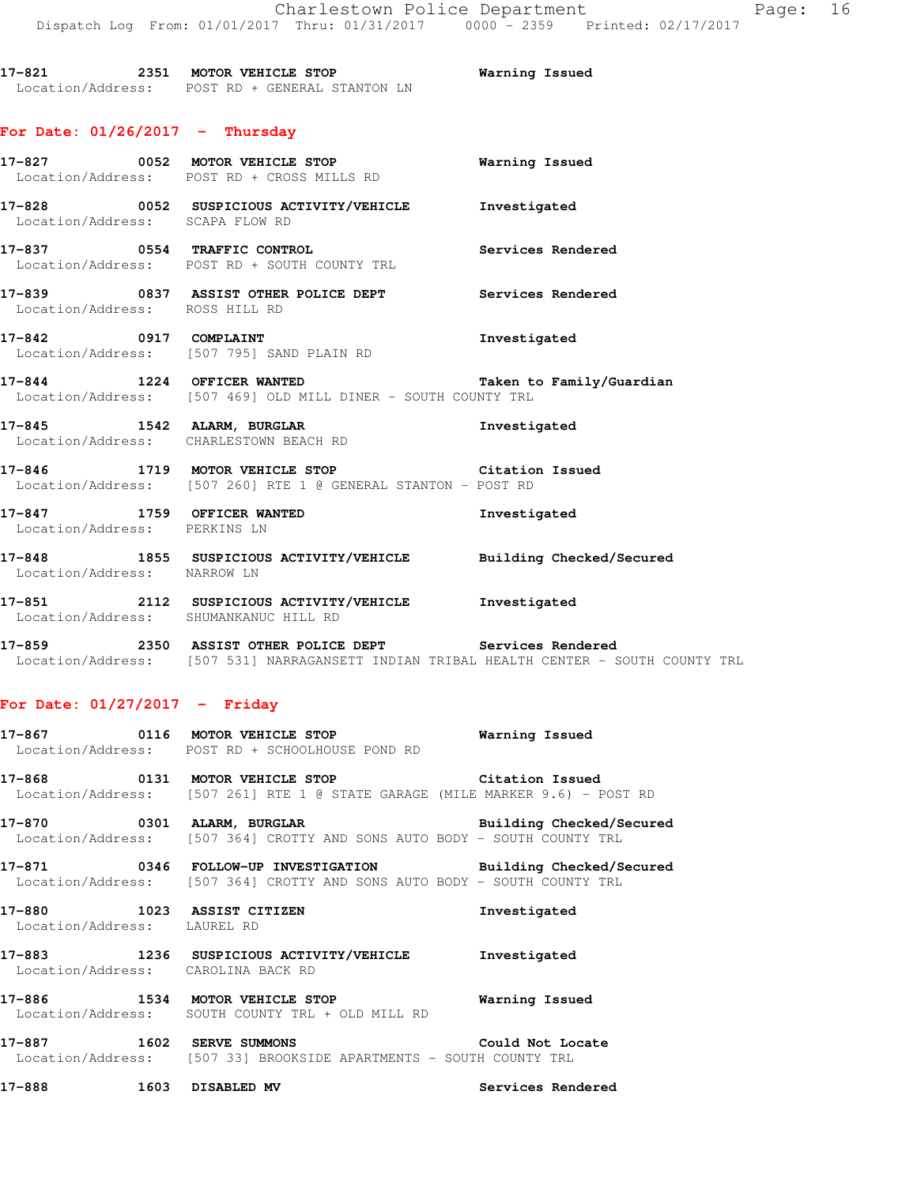**17-821 2351 MOTOR VEHICLE STOP Warning Issued**  Location/Address: POST RD + GENERAL STANTON LN

# **For Date: 01/26/2017 - Thursday**

|                                       | 17-827 0052 MOTOR VEHICLE STOP <b>Warning Issued</b><br>Location/Address: POST RD + CROSS MILLS RD                   |              |
|---------------------------------------|----------------------------------------------------------------------------------------------------------------------|--------------|
| Location/Address: SCAPA FLOW RD       | 17-828 0052 SUSPICIOUS ACTIVITY/VEHICLE 1nvestigated                                                                 |              |
|                                       | 17-837 0554 TRAFFIC CONTROL CONTROL Services Rendered<br>Location/Address: POST RD + SOUTH COUNTY TRL                |              |
| Location/Address: ROSS HILL RD        | 17-839 0837 ASSIST OTHER POLICE DEPT Services Rendered                                                               |              |
|                                       | 17-842 0917 COMPLAINT 2000 1nvestigated<br>Location/Address: [507 795] SAND PLAIN RD                                 |              |
|                                       | 17-844 1224 OFFICER WANTED Taken to Family/Guardian<br>Location/Address: [507 469] OLD MILL DINER - SOUTH COUNTY TRL |              |
|                                       | 17-845 1542 ALARM, BURGLAR 10 Investigated<br>Location/Address: CHARLESTOWN BEACH RD                                 |              |
|                                       | 17-846 1719 MOTOR VEHICLE STOP Citation Issued<br>Location/Address: [507 260] RTE 1 @ GENERAL STANTON - POST RD      |              |
| Location/Address: PERKINS LN          | 17-847 1759 OFFICER WANTED                                                                                           | Investigated |
| Location/Address: NARROW LN           | 17-848 1855 SUSPICIOUS ACTIVITY/VEHICLE Building Checked/Secured                                                     |              |
| Location/Address: SHUMANKANUC HILL RD | 17-851 2112 SUSPICIOUS ACTIVITY/VEHICLE Investigated                                                                 |              |

**17-859 2350 ASSIST OTHER POLICE DEPT Services Rendered**  Location/Address: [507 531] NARRAGANSETT INDIAN TRIBAL HEALTH CENTER - SOUTH COUNTY TRL

## **For Date: 01/27/2017 - Friday**

|                             | 17-867 0116 MOTOR VEHICLE STOP 6 Warning Issued<br>Location/Address: POST RD + SCHOOLHOUSE POND RD                                  |                   |
|-----------------------------|-------------------------------------------------------------------------------------------------------------------------------------|-------------------|
|                             | 17-868 6131 MOTOR VEHICLE STOP 61 Citation Issued<br>  Location/Address: [507 261] RTE 1 @ STATE GARAGE (MILE MARKER 9.6) - POST RD |                   |
|                             | Location/Address: [507 364] CROTTY AND SONS AUTO BODY - SOUTH COUNTY TRL                                                            |                   |
|                             | Location/Address: [507 364] CROTTY AND SONS AUTO BODY - SOUTH COUNTY TRL                                                            |                   |
| Location/Address: LAUREL RD | 17-880 1023 ASSIST CITIZEN                                                                                                          | Investigated      |
|                             | 17-883 1236 SUSPICIOUS ACTIVITY/VEHICLE Investigated<br>Location/Address: CAROLINA BACK RD                                          |                   |
|                             | Location/Address: SOUTH COUNTY TRL + OLD MILL RD                                                                                    |                   |
|                             | 17-887 1602 SERVE SUMMONS 100 Could Not Locate<br>Location/Address: [507 33] BROOKSIDE APARTMENTS - SOUTH COUNTY TRL                |                   |
| 17-888 1603 DISABLED MV     |                                                                                                                                     | Services Rendered |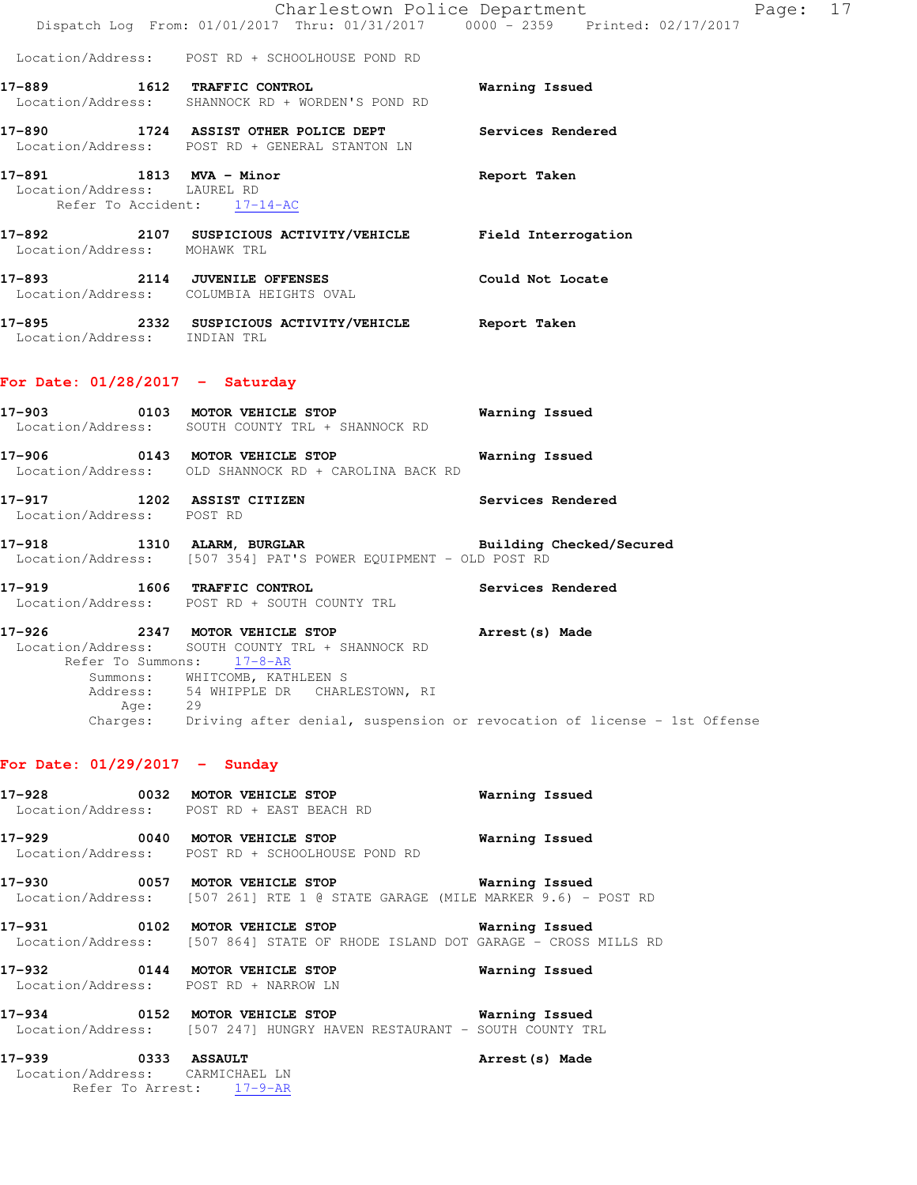|                                                                                       | Dispatch Log From: 01/01/2017 Thru: 01/31/2017 0000 - 2359 Printed: 02/17/2017                                                                                                                                                                                                                        | Charlestown Police Department The Page: 17 |  |
|---------------------------------------------------------------------------------------|-------------------------------------------------------------------------------------------------------------------------------------------------------------------------------------------------------------------------------------------------------------------------------------------------------|--------------------------------------------|--|
|                                                                                       | Location/Address: POST RD + SCHOOLHOUSE POND RD                                                                                                                                                                                                                                                       |                                            |  |
|                                                                                       | 17-889 1612 TRAFFIC CONTROL Marning Issued<br>Location/Address: SHANNOCK RD + WORDEN'S POND RD                                                                                                                                                                                                        |                                            |  |
|                                                                                       | 17-890 1724 ASSIST OTHER POLICE DEPT Services Rendered<br>Location/Address: POST RD + GENERAL STANTON LN                                                                                                                                                                                              |                                            |  |
| 17-891 1813 MVA - Minor<br>Location/Address: LAUREL RD<br>Refer To Accident: 17-14-AC |                                                                                                                                                                                                                                                                                                       | Report Taken                               |  |
| Location/Address: MOHAWK TRL                                                          | 17-892 2107 SUSPICIOUS ACTIVITY/VEHICLE Field Interrogation                                                                                                                                                                                                                                           |                                            |  |
|                                                                                       | 17-893 2114 JUVENILE OFFENSES Could Not Locate<br>Location/Address: COLUMBIA HEIGHTS OVAL                                                                                                                                                                                                             |                                            |  |
| Location/Address: INDIAN TRL                                                          | 17-895 2332 SUSPICIOUS ACTIVITY/VEHICLE Report Taken                                                                                                                                                                                                                                                  |                                            |  |
| For Date: $01/28/2017 -$ Saturday                                                     |                                                                                                                                                                                                                                                                                                       |                                            |  |
|                                                                                       | 17-903 0103 MOTOR VEHICLE STOP 6 Warning Issued<br>Location/Address: SOUTH COUNTY TRL + SHANNOCK RD                                                                                                                                                                                                   |                                            |  |
|                                                                                       | 17-906 0143 MOTOR VEHICLE STOP 6 Warning Issued<br>Location/Address: OLD SHANNOCK RD + CAROLINA BACK RD                                                                                                                                                                                               |                                            |  |
| Location/Address: POST RD                                                             | 17-917 1202 ASSIST CITIZEN Services Rendered                                                                                                                                                                                                                                                          |                                            |  |
|                                                                                       | 17-918 1310 ALARM, BURGLAR BURGINER BUILding Checked/Secured Location/Address: [507 354] PAT'S POWER EQUIPMENT - OLD POST RD                                                                                                                                                                          |                                            |  |
|                                                                                       | 17-919 1606 TRAFFIC CONTROL 2000 Services Rendered<br>Location/Address: POST RD + SOUTH COUNTY TRL                                                                                                                                                                                                    |                                            |  |
| Age: 29                                                                               | 17-926 2347 MOTOR VEHICLE STOP <b>Arrest</b> (s) Made<br>Location/Address: SOUTH COUNTY TRL + SHANNOCK RD<br>Refer To Summons: 17-8-AR<br>Summons: WHITCOMB, KATHLEEN S<br>Address: 54 WHIPPLE DR CHARLESTOWN, RI<br>Charges: Driving after denial, suspension or revocation of license - 1st Offense |                                            |  |
| For Date: $01/29/2017 -$ Sunday                                                       |                                                                                                                                                                                                                                                                                                       |                                            |  |
| 17-928                                                                                | 0032 MOTOR VEHICLE STOP<br>Location/Address: POST RD + EAST BEACH RD                                                                                                                                                                                                                                  | Warning Issued                             |  |
|                                                                                       | 17-929 0040 MOTOR VEHICLE STOP<br>Location/Address: POST RD + SCHOOLHOUSE POND RD                                                                                                                                                                                                                     | Warning Issued                             |  |
| 17-930                                                                                | 0057 MOTOR VEHICLE STOP<br>Location/Address: [507 261] RTE 1 @ STATE GARAGE (MILE MARKER 9.6) - POST RD                                                                                                                                                                                               | Warning Issued                             |  |
|                                                                                       | 17-931 0102 MOTOR VEHICLE STOP<br>Location/Address: [507 864] STATE OF RHODE ISLAND DOT GARAGE - CROSS MILLS RD                                                                                                                                                                                       | <b>Warning Issued</b>                      |  |
| 17–932                                                                                | 0144 MOTOR VEHICLE STOP<br>Location/Address: POST RD + NARROW LN                                                                                                                                                                                                                                      | Warning Issued                             |  |
|                                                                                       | 17-934 0152 MOTOR VEHICLE STOP 6 Warning Issued<br>Location/Address: [507 247] HUNGRY HAVEN RESTAURANT - SOUTH COUNTY TRL                                                                                                                                                                             |                                            |  |
| 0333 ASSAULT<br>17–939<br>Location/Address: CARMICHAEL LN                             | Refer To Arrest: 17-9-AR                                                                                                                                                                                                                                                                              | Arrest (s) Made                            |  |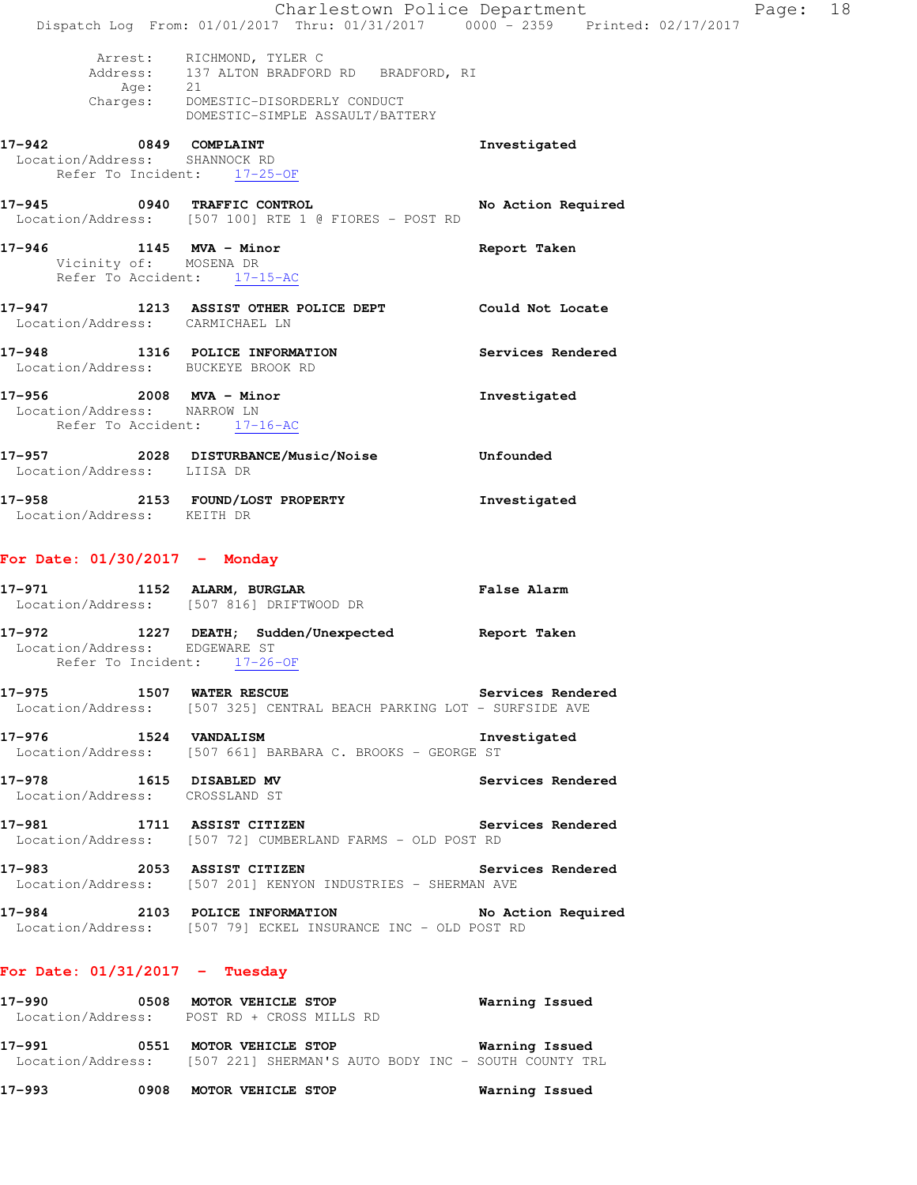|                                                                                       |         | Dispatch Log From: 01/01/2017 Thru: 01/31/2017 0000 - 2359 Printed: 02/17/2017                                                                      | Charlestown Police Department | Page: 18 |  |
|---------------------------------------------------------------------------------------|---------|-----------------------------------------------------------------------------------------------------------------------------------------------------|-------------------------------|----------|--|
|                                                                                       | Age: 21 | Arrest: RICHMOND, TYLER C<br>Address: 137 ALTON BRADFORD RD BRADFORD, RI<br>Charges: DOMESTIC-DISORDERLY CONDUCT<br>DOMESTIC-SIMPLE ASSAULT/BATTERY |                               |          |  |
| 17-942 0849 COMPLAINT<br>Location/Address: SHANNOCK RD                                |         | Refer To Incident: 17-25-OF                                                                                                                         | Investigated                  |          |  |
| 17-945 0940 TRAFFIC CONTROL                                                           |         | Location/Address: [507 100] RTE 1 @ FIORES - POST RD                                                                                                | No Action Required            |          |  |
| 17-946 1145 MVA - Minor<br>Vicinity of: MOSENA DR                                     |         | Refer To Accident: 17-15-AC                                                                                                                         | Report Taken                  |          |  |
| Location/Address: CARMICHAEL LN                                                       |         | 17-947 1213 ASSIST OTHER POLICE DEPT Could Not Locate                                                                                               |                               |          |  |
| Location/Address: BUCKEYE BROOK RD                                                    |         | 17-948 1316 POLICE INFORMATION                                                                                                                      | Services Rendered             |          |  |
| 17-956 2008 MVA - Minor<br>Location/Address: NARROW LN<br>Refer To Accident: 17-16-AC |         |                                                                                                                                                     | Investigated                  |          |  |
| Location/Address: LIISA DR                                                            |         | 17-957 2028 DISTURBANCE/Music/Noise                                                                                                                 | Unfounded                     |          |  |
| Location/Address: KEITH DR                                                            |         | 17-958 2153 FOUND/LOST PROPERTY                                                                                                                     | Investigated                  |          |  |
| For Date: $01/30/2017$ - Monday                                                       |         |                                                                                                                                                     |                               |          |  |
|                                                                                       |         | 17-971 1152 ALARM, BURGLAR<br>Location/Address: [507 816] DRIFTWOOD DR                                                                              | <b>False Alarm</b>            |          |  |
| Location/Address: EDGEWARE ST<br>Refer To Incident: 17-26-OF                          |         | 17-972 1227 DEATH; Sudden/Unexpected Report Taken                                                                                                   |                               |          |  |
|                                                                                       |         | 17-975 1507 WATER RESCUE<br>Location/Address: [507 325] CENTRAL BEACH PARKING LOT - SURFSIDE AVE                                                    | Services Rendered             |          |  |
| 17-976 1524 VANDALISM                                                                 |         | Location/Address: [507 661] BARBARA C. BROOKS - GEORGE ST                                                                                           | Investigated                  |          |  |
| 17-978 1615 DISABLED MV<br>Location/Address: CROSSLAND ST                             |         |                                                                                                                                                     | Services Rendered             |          |  |
|                                                                                       |         | 17-981 1711 ASSIST CITIZEN<br>Location/Address: [507 72] CUMBERLAND FARMS - OLD POST RD                                                             | Services Rendered             |          |  |
|                                                                                       |         | 17-983 2053 ASSIST CITIZEN Services Rendered<br>Location/Address: [507 201] KENYON INDUSTRIES - SHERMAN AVE                                         |                               |          |  |
|                                                                                       |         | 17-984 2103 POLICE INFORMATION<br>Location/Address: [507 79] ECKEL INSURANCE INC - OLD POST RD                                                      | No Action Required            |          |  |
| For Date: $01/31/2017$ - Tuesday                                                      |         |                                                                                                                                                     |                               |          |  |
| 17-990                                                                                |         | 0508 MOTOR VEHICLE STOP                                                                                                                             | Warning Issued                |          |  |

 Location/Address: POST RD + CROSS MILLS RD **17-991 0551 MOTOR VEHICLE STOP Warning Issued**  Location/Address: [507 221] SHERMAN'S AUTO BODY INC - SOUTH COUNTY TRL

**17-993 0908 MOTOR VEHICLE STOP Warning Issued**